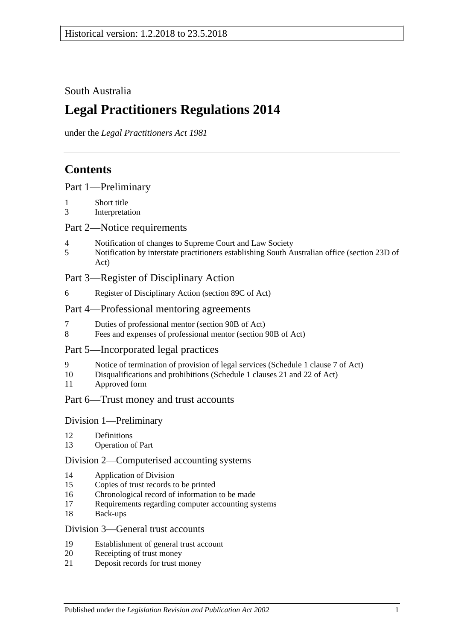## South Australia

# **Legal Practitioners Regulations 2014**

under the *Legal Practitioners Act 1981*

# **Contents**

|  |  | Part 1-Preliminary |
|--|--|--------------------|
|--|--|--------------------|

- 1 [Short title](#page-2-1)
- 3 [Interpretation](#page-2-2)

## Part [2—Notice requirements](#page-2-3)

- 4 [Notification of changes to Supreme Court and Law Society](#page-2-4)
- 5 [Notification by interstate practitioners establishing South Australian office \(section](#page-3-0) 23D of [Act\)](#page-3-0)

## Part [3—Register of Disciplinary Action](#page-4-0)

6 [Register of Disciplinary Action \(section](#page-4-1) 89C of Act)

## Part [4—Professional mentoring agreements](#page-5-0)

- 7 [Duties of professional mentor \(section 90B of Act\)](#page-5-1)
- 8 [Fees and expenses of professional mentor \(section](#page-5-2) 90B of Act)

## Part [5—Incorporated legal practices](#page-5-3)

- 9 [Notice of termination of provision of legal services \(Schedule](#page-5-4) 1 clause 7 of Act)
- 10 [Disqualifications and prohibitions \(Schedule](#page-5-5) 1 clauses 21 and 22 of Act)
- 11 [Approved form](#page-7-0)

## Part [6—Trust money and trust accounts](#page-7-1)

## Division [1—Preliminary](#page-7-2)

- 12 [Definitions](#page-7-3)
- 13 [Operation of Part](#page-7-4)

## Division [2—Computerised accounting systems](#page-7-5)

- 14 [Application of Division](#page-7-6)
- 15 [Copies of trust records to be printed](#page-8-0)
- 16 [Chronological record of information to be made](#page-8-1)
- 17 [Requirements regarding computer accounting systems](#page-8-2)
- 18 [Back-ups](#page-9-0)

## Division [3—General trust accounts](#page-9-1)

- 19 [Establishment of general trust account](#page-9-2)
- 20 [Receipting of trust money](#page-10-0)
- 21 [Deposit records for trust money](#page-11-0)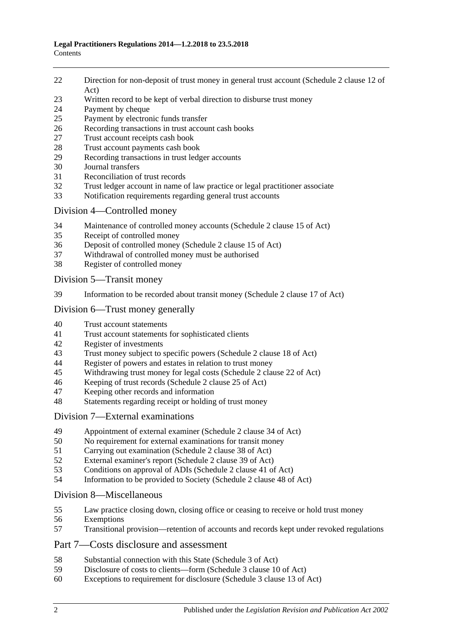- [Direction for non-deposit of trust money in general trust account \(Schedule](#page-11-1) 2 clause 12 of [Act\)](#page-11-1)
- [Written record to be kept of verbal direction to disburse trust money](#page-11-2)
- [Payment by cheque](#page-11-3)
- [Payment by electronic funds transfer](#page-13-0)
- [Recording transactions in trust account cash books](#page-14-0)
- [Trust account receipts cash book](#page-14-1)
- [Trust account payments cash book](#page-15-0)<br>29 Recording transactions in trust leds
- [Recording transactions in trust ledger accounts](#page-16-0)
- [Journal transfers](#page-17-0)
- [Reconciliation of trust records](#page-18-0)
- [Trust ledger account in name of law practice or legal practitioner associate](#page-18-1)
- [Notification requirements regarding general trust accounts](#page-19-0)

### Division [4—Controlled money](#page-20-0)

- [Maintenance of controlled money accounts \(Schedule](#page-20-1) 2 clause 15 of Act)
- [Receipt of controlled money](#page-20-2)
- [Deposit of controlled money \(Schedule](#page-21-0) 2 clause 15 of Act)
- [Withdrawal of controlled money must be authorised](#page-21-1)
- [Register of controlled money](#page-22-0)

Division [5—Transit money](#page-23-0)

[Information to be recorded about transit money \(Schedule](#page-23-1) 2 clause 17 of Act)

## Division [6—Trust money generally](#page-23-2)

- [Trust account statements](#page-23-3)
- [Trust account statements for sophisticated clients](#page-24-0)
- [Register of investments](#page-24-1)<br>43 Trust money subject to s
- [Trust money subject to specific powers \(Schedule 2 clause 18 of Act\)](#page-25-0)
- [Register of powers and estates in relation to trust money](#page-25-1)<br>45 Withdrawing trust money for legal costs (Schedule 2 clar
- [Withdrawing trust money for legal costs \(Schedule](#page-26-0) 2 clause 22 of Act)
- [Keeping of trust records \(Schedule](#page-27-0) 2 clause 25 of Act)
- [Keeping other records and information](#page-27-1)
- [Statements regarding receipt or holding of trust money](#page-27-2)

## Division [7—External examinations](#page-28-0)

- [Appointment of external examiner \(Schedule](#page-28-1) 2 clause 34 of Act)
- [No requirement for external examinations for transit money](#page-28-2)
- [Carrying out examination \(Schedule](#page-29-0) 2 clause 38 of Act)<br>52 External examiner's report (Schedule 2 clause 39 of Act)
- [External examiner's report \(Schedule](#page-29-1) 2 clause 39 of Act)<br>53 Conditions on approval of ADIs (Schedule 2 clause 41 of
- [Conditions on approval of ADIs \(Schedule](#page-30-0) 2 clause 41 of Act)
- [Information to be provided to Society \(Schedule](#page-31-0) 2 clause 48 of Act)

## Division [8—Miscellaneous](#page-31-1)

- [Law practice closing down, closing office or ceasing to receive or hold trust money](#page-31-2)
- [Exemptions](#page-32-0)
- [Transitional provision—retention of accounts and records kept under revoked regulations](#page-32-1)

## Part [7—Costs disclosure and assessment](#page-32-2)

- [Substantial connection with this State \(Schedule](#page-32-3) 3 of Act)
- [Disclosure of costs to clients—form \(Schedule](#page-33-0) 3 clause 10 of Act)
- [Exceptions to requirement for disclosure \(Schedule](#page-33-1) 3 clause 13 of Act)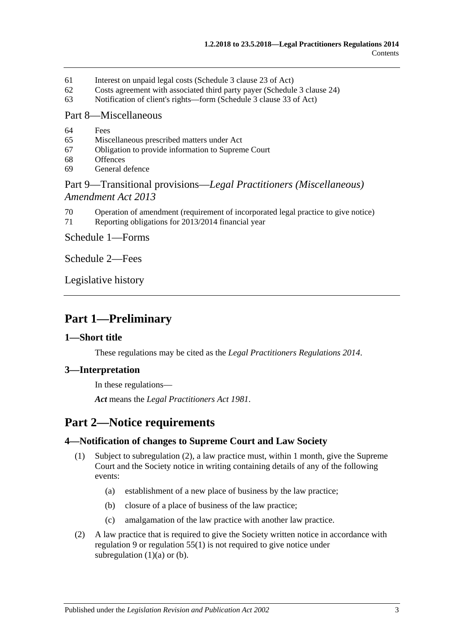- 61 [Interest on unpaid legal costs \(Schedule](#page-33-2) 3 clause 23 of Act)
- 62 [Costs agreement with associated third party payer \(Schedule](#page-33-3) 3 clause 24)
- 63 [Notification of client's rights—form \(Schedule](#page-33-4) 3 clause 33 of Act)

#### Part [8—Miscellaneous](#page-33-5)

- 64 [Fees](#page-33-6)
- 65 [Miscellaneous prescribed matters under Act](#page-34-0)
- 67 [Obligation to provide information to Supreme Court](#page-34-1)
- 68 [Offences](#page-34-2)
- 69 [General defence](#page-35-0)

## Part 9—Transitional provisions—*[Legal Practitioners \(Miscellaneous\)](#page-35-1)  [Amendment Act](#page-35-1) 2013*

- 70 [Operation of amendment \(requirement of incorporated legal](#page-35-2) practice to give notice)
- 71 [Reporting obligations for 2013/2014 financial year](#page-35-3)

Schedule [1—Forms](#page-35-4)

[Schedule](#page-36-0) 2—Fees

[Legislative history](#page-37-0)

# <span id="page-2-0"></span>**Part 1—Preliminary**

#### <span id="page-2-1"></span>**1—Short title**

These regulations may be cited as the *Legal Practitioners Regulations 2014*.

## <span id="page-2-2"></span>**3—Interpretation**

In these regulations—

*Act* means the *[Legal Practitioners Act](http://www.legislation.sa.gov.au/index.aspx?action=legref&type=act&legtitle=Legal%20Practitioners%20Act%201981) 1981*.

# <span id="page-2-3"></span>**Part 2—Notice requirements**

## <span id="page-2-8"></span><span id="page-2-4"></span>**4—Notification of changes to Supreme Court and Law Society**

- <span id="page-2-6"></span>(1) Subject to [subregulation](#page-2-5) (2), a law practice must, within 1 month, give the Supreme Court and the Society notice in writing containing details of any of the following events:
	- (a) establishment of a new place of business by the law practice;
	- (b) closure of a place of business of the law practice;
	- (c) amalgamation of the law practice with another law practice.
- <span id="page-2-7"></span><span id="page-2-5"></span>(2) A law practice that is required to give the Society written notice in accordance with [regulation](#page-5-4) 9 or [regulation](#page-31-3) 55(1) is not required to give notice under [subregulation](#page-2-6)  $(1)(a)$  or  $(b)$ .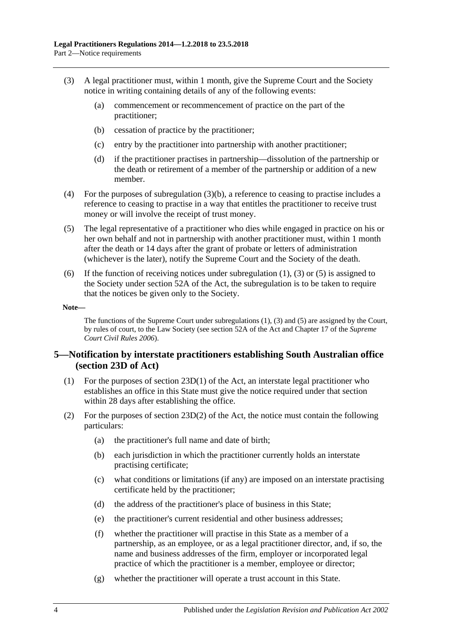- <span id="page-3-2"></span><span id="page-3-1"></span>(3) A legal practitioner must, within 1 month, give the Supreme Court and the Society notice in writing containing details of any of the following events:
	- (a) commencement or recommencement of practice on the part of the practitioner;
	- (b) cessation of practice by the practitioner;
	- (c) entry by the practitioner into partnership with another practitioner;
	- (d) if the practitioner practises in partnership—dissolution of the partnership or the death or retirement of a member of the partnership or addition of a new member.
- (4) For the purposes of [subregulation](#page-3-1) (3)(b), a reference to ceasing to practise includes a reference to ceasing to practise in a way that entitles the practitioner to receive trust money or will involve the receipt of trust money.
- <span id="page-3-3"></span>(5) The legal representative of a practitioner who dies while engaged in practice on his or her own behalf and not in partnership with another practitioner must, within 1 month after the death or 14 days after the grant of probate or letters of administration (whichever is the later), notify the Supreme Court and the Society of the death.
- (6) If the function of receiving notices under [subregulation](#page-2-8) (1), [\(3\)](#page-3-2) or [\(5\)](#page-3-3) is assigned to the Society under section 52A of the Act, the subregulation is to be taken to require that the notices be given only to the Society.

#### **Note—**

The functions of the Supreme Court under [subregulations](#page-2-8) (1), [\(3\)](#page-3-2) and [\(5\)](#page-3-3) are assigned by the Court, by rules of court, to the Law Society (see section 52A of the Act and Chapter 17 of the *Supreme Court Civil Rules 2006*).

## <span id="page-3-0"></span>**5—Notification by interstate practitioners establishing South Australian office (section 23D of Act)**

- (1) For the purposes of section 23D(1) of the Act, an interstate legal practitioner who establishes an office in this State must give the notice required under that section within 28 days after establishing the office.
- (2) For the purposes of section  $23D(2)$  of the Act, the notice must contain the following particulars:
	- (a) the practitioner's full name and date of birth;
	- (b) each jurisdiction in which the practitioner currently holds an interstate practising certificate;
	- (c) what conditions or limitations (if any) are imposed on an interstate practising certificate held by the practitioner;
	- (d) the address of the practitioner's place of business in this State;
	- (e) the practitioner's current residential and other business addresses;
	- (f) whether the practitioner will practise in this State as a member of a partnership, as an employee, or as a legal practitioner director, and, if so, the name and business addresses of the firm, employer or incorporated legal practice of which the practitioner is a member, employee or director;
	- (g) whether the practitioner will operate a trust account in this State.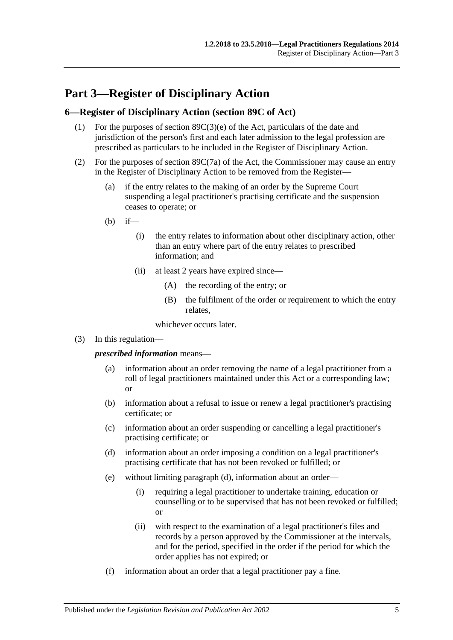# <span id="page-4-0"></span>**Part 3—Register of Disciplinary Action**

### <span id="page-4-1"></span>**6—Register of Disciplinary Action (section 89C of Act)**

- (1) For the purposes of section 89C(3)(e) of the Act, particulars of the date and jurisdiction of the person's first and each later admission to the legal profession are prescribed as particulars to be included in the Register of Disciplinary Action.
- (2) For the purposes of section 89C(7a) of the Act, the Commissioner may cause an entry in the Register of Disciplinary Action to be removed from the Register—
	- (a) if the entry relates to the making of an order by the Supreme Court suspending a legal practitioner's practising certificate and the suspension ceases to operate; or
	- $(h)$  if—
		- (i) the entry relates to information about other disciplinary action, other than an entry where part of the entry relates to prescribed information; and
		- (ii) at least 2 years have expired since—
			- (A) the recording of the entry; or
			- (B) the fulfilment of the order or requirement to which the entry relates,

whichever occurs later.

(3) In this regulation—

*prescribed information* means—

- (a) information about an order removing the name of a legal practitioner from a roll of legal practitioners maintained under this Act or a corresponding law; or
- (b) information about a refusal to issue or renew a legal practitioner's practising certificate; or
- (c) information about an order suspending or cancelling a legal practitioner's practising certificate; or
- <span id="page-4-2"></span>(d) information about an order imposing a condition on a legal practitioner's practising certificate that has not been revoked or fulfilled; or
- (e) without limiting [paragraph](#page-4-2) (d), information about an order—
	- (i) requiring a legal practitioner to undertake training, education or counselling or to be supervised that has not been revoked or fulfilled; or
	- (ii) with respect to the examination of a legal practitioner's files and records by a person approved by the Commissioner at the intervals, and for the period, specified in the order if the period for which the order applies has not expired; or
- (f) information about an order that a legal practitioner pay a fine.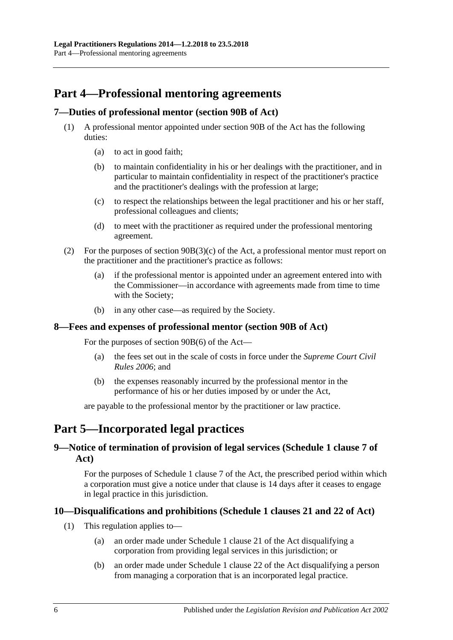# <span id="page-5-0"></span>**Part 4—Professional mentoring agreements**

## <span id="page-5-1"></span>**7—Duties of professional mentor (section 90B of Act)**

- (1) A professional mentor appointed under section 90B of the Act has the following duties:
	- (a) to act in good faith;
	- (b) to maintain confidentiality in his or her dealings with the practitioner, and in particular to maintain confidentiality in respect of the practitioner's practice and the practitioner's dealings with the profession at large;
	- (c) to respect the relationships between the legal practitioner and his or her staff, professional colleagues and clients;
	- (d) to meet with the practitioner as required under the professional mentoring agreement.
- (2) For the purposes of section 90B(3)(c) of the Act, a professional mentor must report on the practitioner and the practitioner's practice as follows:
	- (a) if the professional mentor is appointed under an agreement entered into with the Commissioner—in accordance with agreements made from time to time with the Society;
	- (b) in any other case—as required by the Society.

#### <span id="page-5-2"></span>**8—Fees and expenses of professional mentor (section 90B of Act)**

For the purposes of section 90B(6) of the Act—

- (a) the fees set out in the scale of costs in force under the *Supreme Court Civil Rules 2006*; and
- (b) the expenses reasonably incurred by the professional mentor in the performance of his or her duties imposed by or under the Act,

are payable to the professional mentor by the practitioner or law practice.

# <span id="page-5-3"></span>**Part 5—Incorporated legal practices**

## <span id="page-5-4"></span>**9—Notice of termination of provision of legal services (Schedule 1 clause 7 of Act)**

For the purposes of Schedule 1 clause 7 of the Act, the prescribed period within which a corporation must give a notice under that clause is 14 days after it ceases to engage in legal practice in this jurisdiction.

## <span id="page-5-5"></span>**10—Disqualifications and prohibitions (Schedule 1 clauses 21 and 22 of Act)**

- (1) This regulation applies to—
	- (a) an order made under Schedule 1 clause 21 of the Act disqualifying a corporation from providing legal services in this jurisdiction; or
	- (b) an order made under Schedule 1 clause 22 of the Act disqualifying a person from managing a corporation that is an incorporated legal practice.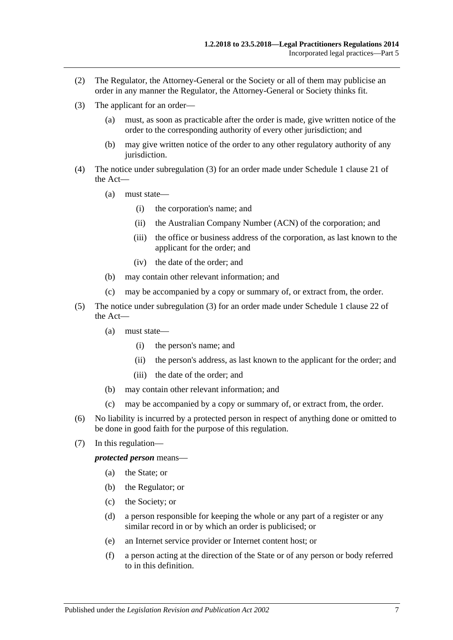- (2) The Regulator, the Attorney-General or the Society or all of them may publicise an order in any manner the Regulator, the Attorney-General or Society thinks fit.
- <span id="page-6-0"></span>(3) The applicant for an order—
	- (a) must, as soon as practicable after the order is made, give written notice of the order to the corresponding authority of every other jurisdiction; and
	- (b) may give written notice of the order to any other regulatory authority of any jurisdiction.
- (4) The notice under [subregulation](#page-6-0) (3) for an order made under Schedule 1 clause 21 of the Act—
	- (a) must state—
		- (i) the corporation's name; and
		- (ii) the Australian Company Number (ACN) of the corporation; and
		- (iii) the office or business address of the corporation, as last known to the applicant for the order; and
		- (iv) the date of the order; and
	- (b) may contain other relevant information; and
	- (c) may be accompanied by a copy or summary of, or extract from, the order.
- (5) The notice under [subregulation](#page-6-0) (3) for an order made under Schedule 1 clause 22 of the Act—
	- (a) must state—
		- (i) the person's name; and
		- (ii) the person's address, as last known to the applicant for the order; and
		- (iii) the date of the order; and
	- (b) may contain other relevant information; and
	- (c) may be accompanied by a copy or summary of, or extract from, the order.
- (6) No liability is incurred by a protected person in respect of anything done or omitted to be done in good faith for the purpose of this regulation.
- (7) In this regulation—

*protected person* means—

- (a) the State; or
- (b) the Regulator; or
- (c) the Society; or
- (d) a person responsible for keeping the whole or any part of a register or any similar record in or by which an order is publicised; or
- (e) an Internet service provider or Internet content host; or
- (f) a person acting at the direction of the State or of any person or body referred to in this definition.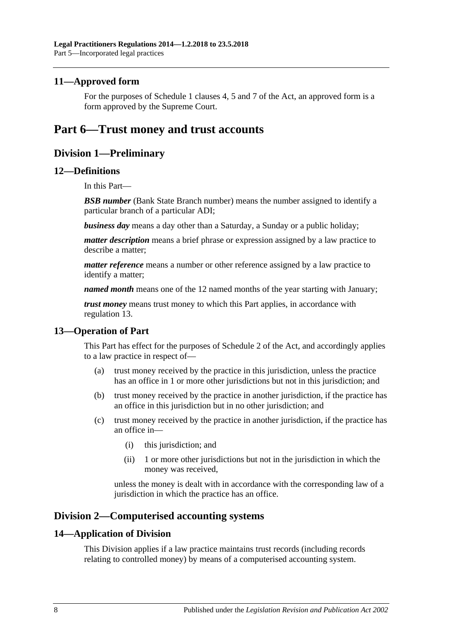### <span id="page-7-0"></span>**11—Approved form**

For the purposes of Schedule 1 clauses 4, 5 and 7 of the Act, an approved form is a form approved by the Supreme Court.

## <span id="page-7-2"></span><span id="page-7-1"></span>**Part 6—Trust money and trust accounts**

## **Division 1—Preliminary**

### <span id="page-7-3"></span>**12—Definitions**

In this Part—

**BSB number** (Bank State Branch number) means the number assigned to identify a particular branch of a particular ADI;

*business day* means a day other than a Saturday, a Sunday or a public holiday;

*matter description* means a brief phrase or expression assigned by a law practice to describe a matter;

*matter reference* means a number or other reference assigned by a law practice to identify a matter;

*named month* means one of the 12 named months of the year starting with January;

*trust money* means trust money to which this Part applies, in accordance with [regulation](#page-7-4) 13.

## <span id="page-7-4"></span>**13—Operation of Part**

This Part has effect for the purposes of Schedule 2 of the Act, and accordingly applies to a law practice in respect of—

- (a) trust money received by the practice in this jurisdiction, unless the practice has an office in 1 or more other jurisdictions but not in this jurisdiction; and
- (b) trust money received by the practice in another jurisdiction, if the practice has an office in this jurisdiction but in no other jurisdiction; and
- (c) trust money received by the practice in another jurisdiction, if the practice has an office in—
	- (i) this jurisdiction; and
	- (ii) 1 or more other jurisdictions but not in the jurisdiction in which the money was received,

unless the money is dealt with in accordance with the corresponding law of a jurisdiction in which the practice has an office.

## <span id="page-7-5"></span>**Division 2—Computerised accounting systems**

#### <span id="page-7-6"></span>**14—Application of Division**

This Division applies if a law practice maintains trust records (including records relating to controlled money) by means of a computerised accounting system.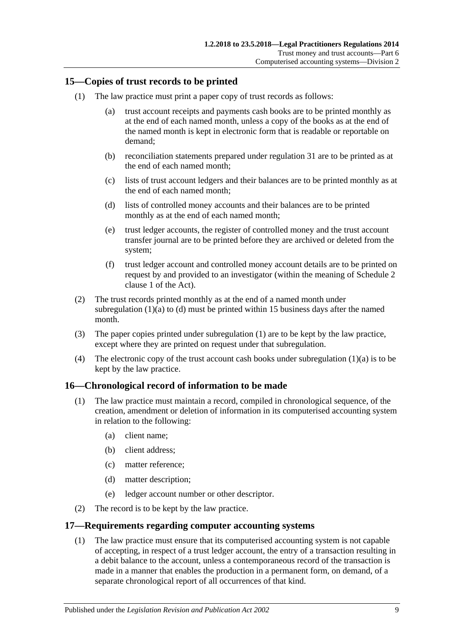## <span id="page-8-5"></span><span id="page-8-0"></span>**15—Copies of trust records to be printed**

- <span id="page-8-3"></span>(1) The law practice must print a paper copy of trust records as follows:
	- (a) trust account receipts and payments cash books are to be printed monthly as at the end of each named month, unless a copy of the books as at the end of the named month is kept in electronic form that is readable or reportable on demand;
	- (b) reconciliation statements prepared under [regulation](#page-18-0) 31 are to be printed as at the end of each named month;
	- (c) lists of trust account ledgers and their balances are to be printed monthly as at the end of each named month;
	- (d) lists of controlled money accounts and their balances are to be printed monthly as at the end of each named month;
	- (e) trust ledger accounts, the register of controlled money and the trust account transfer journal are to be printed before they are archived or deleted from the system;
	- (f) trust ledger account and controlled money account details are to be printed on request by and provided to an investigator (within the meaning of Schedule 2 clause 1 of the Act).
- <span id="page-8-4"></span>(2) The trust records printed monthly as at the end of a named month under [subregulation](#page-8-3)  $(1)(a)$  to  $(d)$  must be printed within 15 business days after the named month.
- (3) The paper copies printed under [subregulation](#page-8-5) (1) are to be kept by the law practice, except where they are printed on request under that subregulation.
- (4) The electronic copy of the trust account cash books under [subregulation](#page-8-3)  $(1)(a)$  is to be kept by the law practice.

## <span id="page-8-1"></span>**16—Chronological record of information to be made**

- (1) The law practice must maintain a record, compiled in chronological sequence, of the creation, amendment or deletion of information in its computerised accounting system in relation to the following:
	- (a) client name;
	- (b) client address;
	- (c) matter reference;
	- (d) matter description;
	- (e) ledger account number or other descriptor.
- (2) The record is to be kept by the law practice.

## <span id="page-8-2"></span>**17—Requirements regarding computer accounting systems**

(1) The law practice must ensure that its computerised accounting system is not capable of accepting, in respect of a trust ledger account, the entry of a transaction resulting in a debit balance to the account, unless a contemporaneous record of the transaction is made in a manner that enables the production in a permanent form, on demand, of a separate chronological report of all occurrences of that kind.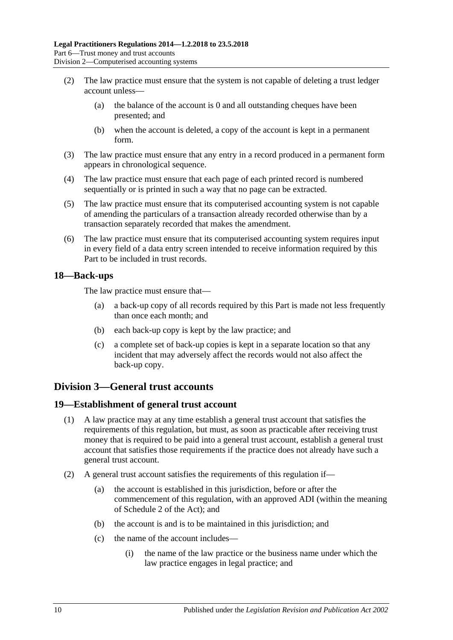- (2) The law practice must ensure that the system is not capable of deleting a trust ledger account unless—
	- (a) the balance of the account is 0 and all outstanding cheques have been presented; and
	- (b) when the account is deleted, a copy of the account is kept in a permanent form.
- (3) The law practice must ensure that any entry in a record produced in a permanent form appears in chronological sequence.
- (4) The law practice must ensure that each page of each printed record is numbered sequentially or is printed in such a way that no page can be extracted.
- (5) The law practice must ensure that its computerised accounting system is not capable of amending the particulars of a transaction already recorded otherwise than by a transaction separately recorded that makes the amendment.
- (6) The law practice must ensure that its computerised accounting system requires input in every field of a data entry screen intended to receive information required by this Part to be included in trust records.

### <span id="page-9-0"></span>**18—Back-ups**

The law practice must ensure that—

- (a) a back-up copy of all records required by this Part is made not less frequently than once each month; and
- (b) each back-up copy is kept by the law practice; and
- (c) a complete set of back-up copies is kept in a separate location so that any incident that may adversely affect the records would not also affect the back-up copy.

## <span id="page-9-1"></span>**Division 3—General trust accounts**

## <span id="page-9-2"></span>**19—Establishment of general trust account**

- (1) A law practice may at any time establish a general trust account that satisfies the requirements of this regulation, but must, as soon as practicable after receiving trust money that is required to be paid into a general trust account, establish a general trust account that satisfies those requirements if the practice does not already have such a general trust account.
- <span id="page-9-3"></span>(2) A general trust account satisfies the requirements of this regulation if—
	- (a) the account is established in this jurisdiction, before or after the commencement of this regulation, with an approved ADI (within the meaning of Schedule 2 of the Act); and
	- (b) the account is and is to be maintained in this jurisdiction; and
	- (c) the name of the account includes—
		- (i) the name of the law practice or the business name under which the law practice engages in legal practice; and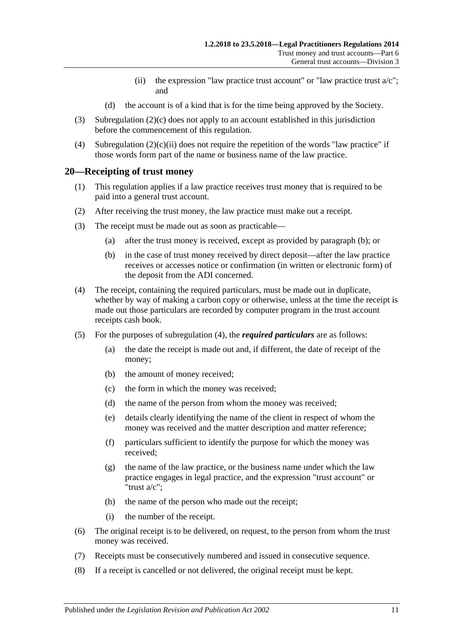- (ii) the expression "law practice trust account" or "law practice trust  $a/c$ "; and
- (d) the account is of a kind that is for the time being approved by the Society.
- <span id="page-10-1"></span>(3) [Subregulation](#page-9-3) (2)(c) does not apply to an account established in this jurisdiction before the commencement of this regulation.
- (4) [Subregulation](#page-10-1)  $(2)(c)(ii)$  does not require the repetition of the words "law practice" if those words form part of the name or business name of the law practice.

### <span id="page-10-0"></span>**20—Receipting of trust money**

- (1) This regulation applies if a law practice receives trust money that is required to be paid into a general trust account.
- (2) After receiving the trust money, the law practice must make out a receipt.
- <span id="page-10-2"></span>(3) The receipt must be made out as soon as practicable—
	- (a) after the trust money is received, except as provided by [paragraph](#page-10-2) (b); or
	- (b) in the case of trust money received by direct deposit—after the law practice receives or accesses notice or confirmation (in written or electronic form) of the deposit from the ADI concerned.
- <span id="page-10-3"></span>(4) The receipt, containing the required particulars, must be made out in duplicate, whether by way of making a carbon copy or otherwise, unless at the time the receipt is made out those particulars are recorded by computer program in the trust account receipts cash book.
- (5) For the purposes of [subregulation](#page-10-3) (4), the *required particulars* are as follows:
	- (a) the date the receipt is made out and, if different, the date of receipt of the money;
	- (b) the amount of money received;
	- (c) the form in which the money was received;
	- (d) the name of the person from whom the money was received;
	- (e) details clearly identifying the name of the client in respect of whom the money was received and the matter description and matter reference;
	- (f) particulars sufficient to identify the purpose for which the money was received;
	- (g) the name of the law practice, or the business name under which the law practice engages in legal practice, and the expression "trust account" or "trust a/c";
	- (h) the name of the person who made out the receipt;
	- (i) the number of the receipt.
- (6) The original receipt is to be delivered, on request, to the person from whom the trust money was received.
- (7) Receipts must be consecutively numbered and issued in consecutive sequence.
- (8) If a receipt is cancelled or not delivered, the original receipt must be kept.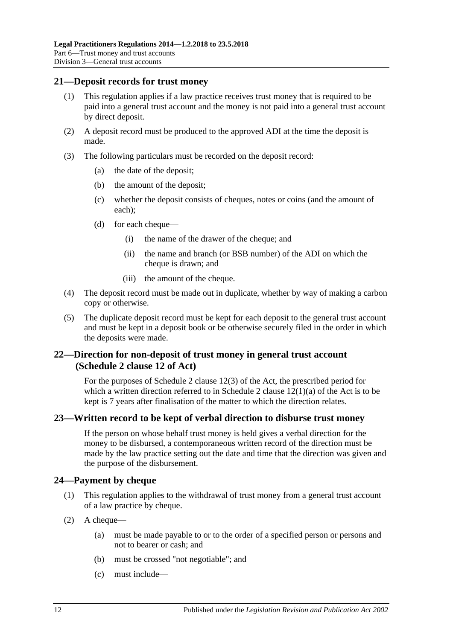#### <span id="page-11-0"></span>**21—Deposit records for trust money**

- (1) This regulation applies if a law practice receives trust money that is required to be paid into a general trust account and the money is not paid into a general trust account by direct deposit.
- (2) A deposit record must be produced to the approved ADI at the time the deposit is made.
- (3) The following particulars must be recorded on the deposit record:
	- (a) the date of the deposit;
	- (b) the amount of the deposit;
	- (c) whether the deposit consists of cheques, notes or coins (and the amount of each);
	- (d) for each cheque—
		- (i) the name of the drawer of the cheque; and
		- (ii) the name and branch (or BSB number) of the ADI on which the cheque is drawn; and
		- (iii) the amount of the cheque.
- (4) The deposit record must be made out in duplicate, whether by way of making a carbon copy or otherwise.
- (5) The duplicate deposit record must be kept for each deposit to the general trust account and must be kept in a deposit book or be otherwise securely filed in the order in which the deposits were made.

## <span id="page-11-1"></span>**22—Direction for non-deposit of trust money in general trust account (Schedule 2 clause 12 of Act)**

For the purposes of Schedule 2 clause 12(3) of the Act, the prescribed period for which a written direction referred to in Schedule 2 clause  $12(1)(a)$  of the Act is to be kept is 7 years after finalisation of the matter to which the direction relates.

## <span id="page-11-2"></span>**23—Written record to be kept of verbal direction to disburse trust money**

If the person on whose behalf trust money is held gives a verbal direction for the money to be disbursed, a contemporaneous written record of the direction must be made by the law practice setting out the date and time that the direction was given and the purpose of the disbursement.

## <span id="page-11-3"></span>**24—Payment by cheque**

- (1) This regulation applies to the withdrawal of trust money from a general trust account of a law practice by cheque.
- <span id="page-11-4"></span>(2) A cheque—
	- (a) must be made payable to or to the order of a specified person or persons and not to bearer or cash; and
	- (b) must be crossed "not negotiable"; and
	- (c) must include—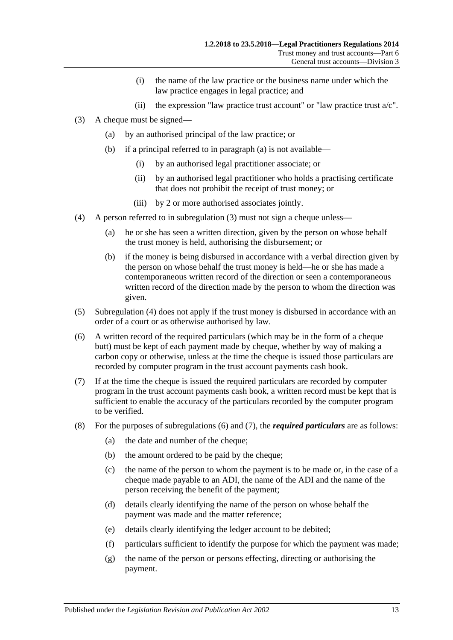- (i) the name of the law practice or the business name under which the law practice engages in legal practice; and
- (ii) the expression "law practice trust account" or "law practice trust  $a/c$ ".
- <span id="page-12-5"></span><span id="page-12-1"></span><span id="page-12-0"></span>(3) A cheque must be signed—
	- (a) by an authorised principal of the law practice; or
	- (b) if a principal referred to in [paragraph](#page-12-0) (a) is not available—
		- (i) by an authorised legal practitioner associate; or
		- (ii) by an authorised legal practitioner who holds a practising certificate that does not prohibit the receipt of trust money; or
		- (iii) by 2 or more authorised associates jointly.
- <span id="page-12-2"></span>(4) A person referred to in [subregulation](#page-12-1) (3) must not sign a cheque unless—
	- (a) he or she has seen a written direction, given by the person on whose behalf the trust money is held, authorising the disbursement; or
	- (b) if the money is being disbursed in accordance with a verbal direction given by the person on whose behalf the trust money is held—he or she has made a contemporaneous written record of the direction or seen a contemporaneous written record of the direction made by the person to whom the direction was given.
- (5) [Subregulation](#page-12-2) (4) does not apply if the trust money is disbursed in accordance with an order of a court or as otherwise authorised by law.
- <span id="page-12-3"></span>(6) A written record of the required particulars (which may be in the form of a cheque butt) must be kept of each payment made by cheque, whether by way of making a carbon copy or otherwise, unless at the time the cheque is issued those particulars are recorded by computer program in the trust account payments cash book.
- <span id="page-12-4"></span>(7) If at the time the cheque is issued the required particulars are recorded by computer program in the trust account payments cash book, a written record must be kept that is sufficient to enable the accuracy of the particulars recorded by the computer program to be verified.
- (8) For the purposes of [subregulations](#page-12-3) (6) and [\(7\),](#page-12-4) the *required particulars* are as follows:
	- (a) the date and number of the cheque;
	- (b) the amount ordered to be paid by the cheque;
	- (c) the name of the person to whom the payment is to be made or, in the case of a cheque made payable to an ADI, the name of the ADI and the name of the person receiving the benefit of the payment;
	- (d) details clearly identifying the name of the person on whose behalf the payment was made and the matter reference;
	- (e) details clearly identifying the ledger account to be debited;
	- (f) particulars sufficient to identify the purpose for which the payment was made;
	- (g) the name of the person or persons effecting, directing or authorising the payment.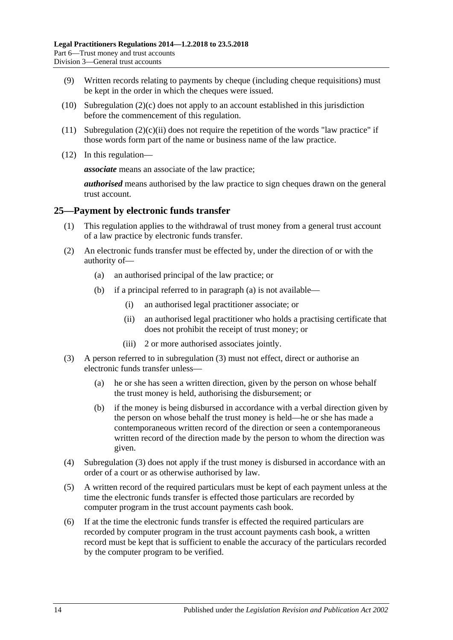- (9) Written records relating to payments by cheque (including cheque requisitions) must be kept in the order in which the cheques were issued.
- (10) [Subregulation](#page-11-4)  $(2)(c)$  does not apply to an account established in this jurisdiction before the commencement of this regulation.
- (11) [Subregulation](#page-12-5)  $(2)(c)(ii)$  does not require the repetition of the words "law practice" if those words form part of the name or business name of the law practice.
- (12) In this regulation—

*associate* means an associate of the law practice;

*authorised* means authorised by the law practice to sign cheques drawn on the general trust account.

### <span id="page-13-0"></span>**25—Payment by electronic funds transfer**

- (1) This regulation applies to the withdrawal of trust money from a general trust account of a law practice by electronic funds transfer.
- <span id="page-13-1"></span>(2) An electronic funds transfer must be effected by, under the direction of or with the authority of—
	- (a) an authorised principal of the law practice; or
	- (b) if a principal referred to in [paragraph](#page-13-1) (a) is not available—
		- (i) an authorised legal practitioner associate; or
		- (ii) an authorised legal practitioner who holds a practising certificate that does not prohibit the receipt of trust money; or
		- (iii) 2 or more authorised associates jointly.
- <span id="page-13-2"></span>(3) A person referred to in [subregulation](#page-12-1) (3) must not effect, direct or authorise an electronic funds transfer unless—
	- (a) he or she has seen a written direction, given by the person on whose behalf the trust money is held, authorising the disbursement; or
	- (b) if the money is being disbursed in accordance with a verbal direction given by the person on whose behalf the trust money is held—he or she has made a contemporaneous written record of the direction or seen a contemporaneous written record of the direction made by the person to whom the direction was given.
- (4) [Subregulation](#page-13-2) (3) does not apply if the trust money is disbursed in accordance with an order of a court or as otherwise authorised by law.
- <span id="page-13-3"></span>(5) A written record of the required particulars must be kept of each payment unless at the time the electronic funds transfer is effected those particulars are recorded by computer program in the trust account payments cash book.
- <span id="page-13-4"></span>(6) If at the time the electronic funds transfer is effected the required particulars are recorded by computer program in the trust account payments cash book, a written record must be kept that is sufficient to enable the accuracy of the particulars recorded by the computer program to be verified.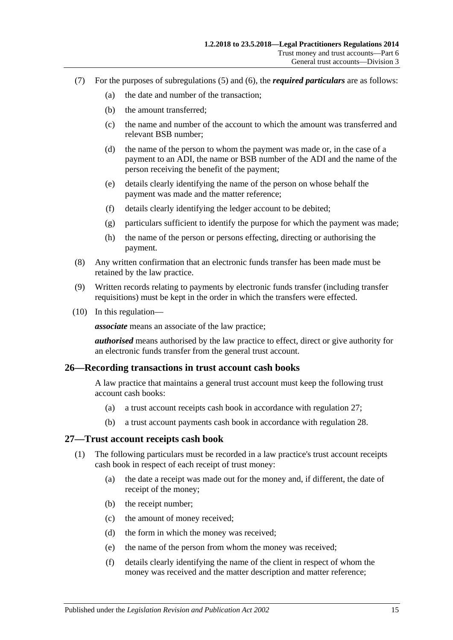- (7) For the purposes of [subregulations](#page-13-3) (5) and [\(6\),](#page-13-4) the *required particulars* are as follows:
	- (a) the date and number of the transaction;
	- (b) the amount transferred;
	- (c) the name and number of the account to which the amount was transferred and relevant BSB number;
	- (d) the name of the person to whom the payment was made or, in the case of a payment to an ADI, the name or BSB number of the ADI and the name of the person receiving the benefit of the payment;
	- (e) details clearly identifying the name of the person on whose behalf the payment was made and the matter reference;
	- (f) details clearly identifying the ledger account to be debited;
	- (g) particulars sufficient to identify the purpose for which the payment was made;
	- (h) the name of the person or persons effecting, directing or authorising the payment.
- (8) Any written confirmation that an electronic funds transfer has been made must be retained by the law practice.
- (9) Written records relating to payments by electronic funds transfer (including transfer requisitions) must be kept in the order in which the transfers were effected.
- (10) In this regulation—

*associate* means an associate of the law practice;

*authorised* means authorised by the law practice to effect, direct or give authority for an electronic funds transfer from the general trust account.

#### <span id="page-14-0"></span>**26—Recording transactions in trust account cash books**

A law practice that maintains a general trust account must keep the following trust account cash books:

- (a) a trust account receipts cash book in accordance with [regulation](#page-14-1) 27;
- (b) a trust account payments cash book in accordance with [regulation](#page-15-0) 28.

#### <span id="page-14-1"></span>**27—Trust account receipts cash book**

- (1) The following particulars must be recorded in a law practice's trust account receipts cash book in respect of each receipt of trust money:
	- (a) the date a receipt was made out for the money and, if different, the date of receipt of the money;
	- (b) the receipt number;
	- (c) the amount of money received;
	- (d) the form in which the money was received;
	- (e) the name of the person from whom the money was received;
	- (f) details clearly identifying the name of the client in respect of whom the money was received and the matter description and matter reference;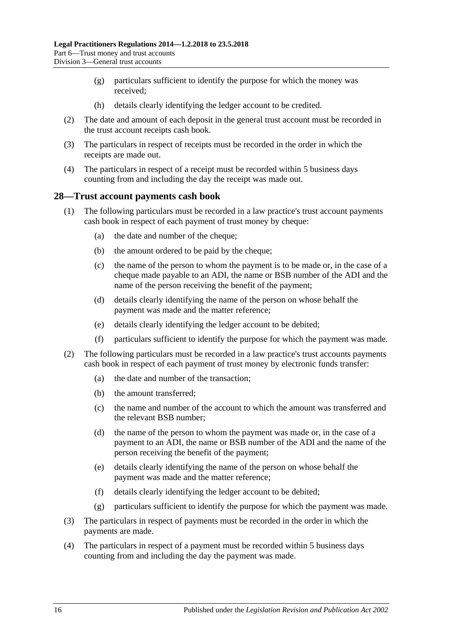- (g) particulars sufficient to identify the purpose for which the money was received;
- (h) details clearly identifying the ledger account to be credited.
- (2) The date and amount of each deposit in the general trust account must be recorded in the trust account receipts cash book.
- (3) The particulars in respect of receipts must be recorded in the order in which the receipts are made out.
- (4) The particulars in respect of a receipt must be recorded within 5 business days counting from and including the day the receipt was made out.

### <span id="page-15-0"></span>**28—Trust account payments cash book**

- (1) The following particulars must be recorded in a law practice's trust account payments cash book in respect of each payment of trust money by cheque:
	- (a) the date and number of the cheque;
	- (b) the amount ordered to be paid by the cheque;
	- (c) the name of the person to whom the payment is to be made or, in the case of a cheque made payable to an ADI, the name or BSB number of the ADI and the name of the person receiving the benefit of the payment;
	- (d) details clearly identifying the name of the person on whose behalf the payment was made and the matter reference;
	- (e) details clearly identifying the ledger account to be debited;
	- (f) particulars sufficient to identify the purpose for which the payment was made.
- (2) The following particulars must be recorded in a law practice's trust accounts payments cash book in respect of each payment of trust money by electronic funds transfer:
	- (a) the date and number of the transaction;
	- (b) the amount transferred;
	- (c) the name and number of the account to which the amount was transferred and the relevant BSB number;
	- (d) the name of the person to whom the payment was made or, in the case of a payment to an ADI, the name or BSB number of the ADI and the name of the person receiving the benefit of the payment;
	- (e) details clearly identifying the name of the person on whose behalf the payment was made and the matter reference;
	- (f) details clearly identifying the ledger account to be debited;
	- (g) particulars sufficient to identify the purpose for which the payment was made.
- (3) The particulars in respect of payments must be recorded in the order in which the payments are made.
- (4) The particulars in respect of a payment must be recorded within 5 business days counting from and including the day the payment was made.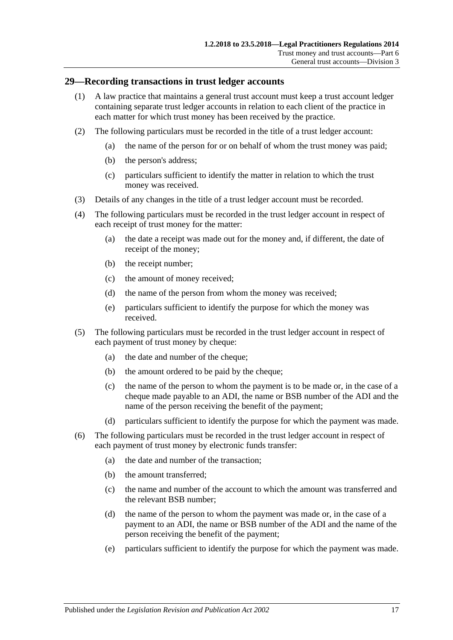### <span id="page-16-0"></span>**29—Recording transactions in trust ledger accounts**

- (1) A law practice that maintains a general trust account must keep a trust account ledger containing separate trust ledger accounts in relation to each client of the practice in each matter for which trust money has been received by the practice.
- (2) The following particulars must be recorded in the title of a trust ledger account:
	- (a) the name of the person for or on behalf of whom the trust money was paid;
	- (b) the person's address;
	- (c) particulars sufficient to identify the matter in relation to which the trust money was received.
- (3) Details of any changes in the title of a trust ledger account must be recorded.
- (4) The following particulars must be recorded in the trust ledger account in respect of each receipt of trust money for the matter:
	- (a) the date a receipt was made out for the money and, if different, the date of receipt of the money;
	- (b) the receipt number;
	- (c) the amount of money received;
	- (d) the name of the person from whom the money was received;
	- (e) particulars sufficient to identify the purpose for which the money was received.
- (5) The following particulars must be recorded in the trust ledger account in respect of each payment of trust money by cheque:
	- (a) the date and number of the cheque;
	- (b) the amount ordered to be paid by the cheque;
	- (c) the name of the person to whom the payment is to be made or, in the case of a cheque made payable to an ADI, the name or BSB number of the ADI and the name of the person receiving the benefit of the payment;
	- (d) particulars sufficient to identify the purpose for which the payment was made.
- (6) The following particulars must be recorded in the trust ledger account in respect of each payment of trust money by electronic funds transfer:
	- (a) the date and number of the transaction;
	- (b) the amount transferred;
	- (c) the name and number of the account to which the amount was transferred and the relevant BSB number;
	- (d) the name of the person to whom the payment was made or, in the case of a payment to an ADI, the name or BSB number of the ADI and the name of the person receiving the benefit of the payment;
	- (e) particulars sufficient to identify the purpose for which the payment was made.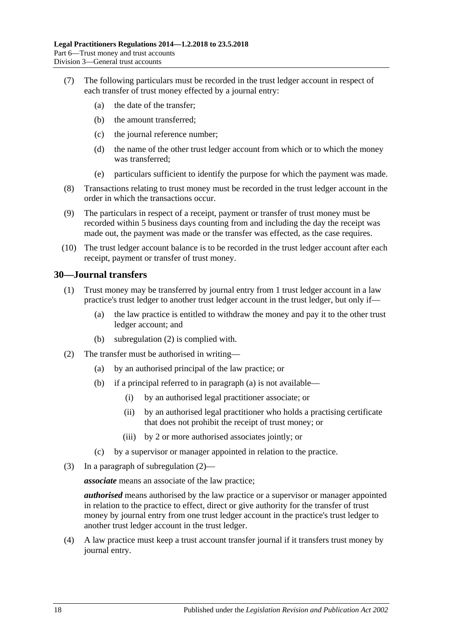- (7) The following particulars must be recorded in the trust ledger account in respect of each transfer of trust money effected by a journal entry:
	- (a) the date of the transfer;
	- (b) the amount transferred;
	- (c) the journal reference number;
	- (d) the name of the other trust ledger account from which or to which the money was transferred;
	- (e) particulars sufficient to identify the purpose for which the payment was made.
- (8) Transactions relating to trust money must be recorded in the trust ledger account in the order in which the transactions occur.
- (9) The particulars in respect of a receipt, payment or transfer of trust money must be recorded within 5 business days counting from and including the day the receipt was made out, the payment was made or the transfer was effected, as the case requires.
- (10) The trust ledger account balance is to be recorded in the trust ledger account after each receipt, payment or transfer of trust money.

#### <span id="page-17-0"></span>**30—Journal transfers**

- (1) Trust money may be transferred by journal entry from 1 trust ledger account in a law practice's trust ledger to another trust ledger account in the trust ledger, but only if—
	- (a) the law practice is entitled to withdraw the money and pay it to the other trust ledger account; and
	- (b) [subregulation](#page-17-1) (2) is complied with.
- <span id="page-17-2"></span><span id="page-17-1"></span>(2) The transfer must be authorised in writing—
	- (a) by an authorised principal of the law practice; or
	- (b) if a principal referred to in [paragraph](#page-17-2) (a) is not available—
		- (i) by an authorised legal practitioner associate; or
		- (ii) by an authorised legal practitioner who holds a practising certificate that does not prohibit the receipt of trust money; or
		- (iii) by 2 or more authorised associates jointly; or
	- (c) by a supervisor or manager appointed in relation to the practice.
- (3) In a paragraph of [subregulation](#page-17-1) (2)—

*associate* means an associate of the law practice;

*authorised* means authorised by the law practice or a supervisor or manager appointed in relation to the practice to effect, direct or give authority for the transfer of trust money by journal entry from one trust ledger account in the practice's trust ledger to another trust ledger account in the trust ledger.

(4) A law practice must keep a trust account transfer journal if it transfers trust money by journal entry.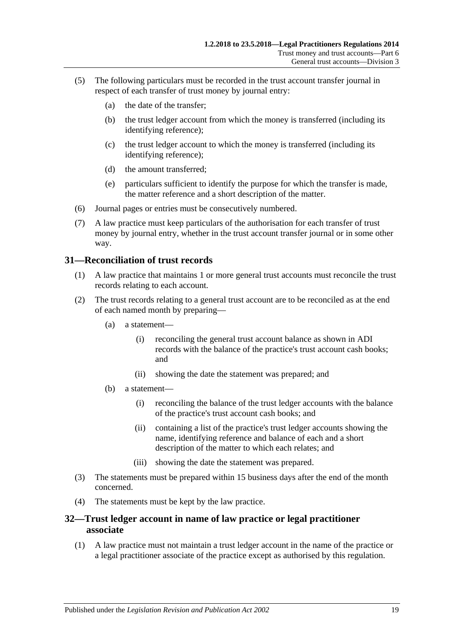- (5) The following particulars must be recorded in the trust account transfer journal in respect of each transfer of trust money by journal entry:
	- (a) the date of the transfer;
	- (b) the trust ledger account from which the money is transferred (including its identifying reference);
	- (c) the trust ledger account to which the money is transferred (including its identifying reference);
	- (d) the amount transferred;
	- (e) particulars sufficient to identify the purpose for which the transfer is made, the matter reference and a short description of the matter.
- (6) Journal pages or entries must be consecutively numbered.
- (7) A law practice must keep particulars of the authorisation for each transfer of trust money by journal entry, whether in the trust account transfer journal or in some other way.

### <span id="page-18-0"></span>**31—Reconciliation of trust records**

- (1) A law practice that maintains 1 or more general trust accounts must reconcile the trust records relating to each account.
- (2) The trust records relating to a general trust account are to be reconciled as at the end of each named month by preparing—
	- (a) a statement—
		- (i) reconciling the general trust account balance as shown in ADI records with the balance of the practice's trust account cash books; and
		- (ii) showing the date the statement was prepared; and
	- (b) a statement—
		- (i) reconciling the balance of the trust ledger accounts with the balance of the practice's trust account cash books; and
		- (ii) containing a list of the practice's trust ledger accounts showing the name, identifying reference and balance of each and a short description of the matter to which each relates; and
		- (iii) showing the date the statement was prepared.
- (3) The statements must be prepared within 15 business days after the end of the month concerned.
- (4) The statements must be kept by the law practice.

### <span id="page-18-1"></span>**32—Trust ledger account in name of law practice or legal practitioner associate**

(1) A law practice must not maintain a trust ledger account in the name of the practice or a legal practitioner associate of the practice except as authorised by this regulation.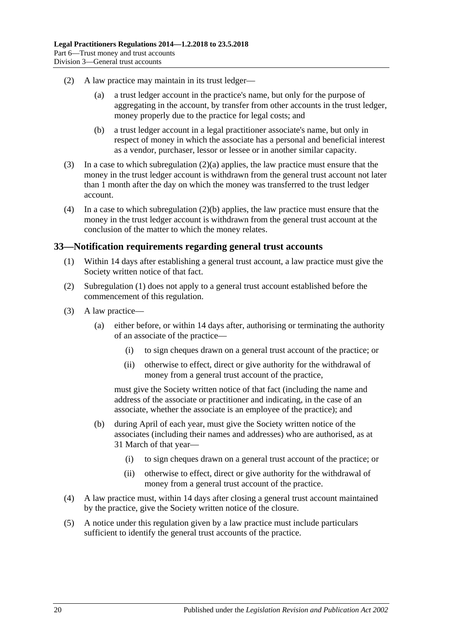- <span id="page-19-1"></span>(2) A law practice may maintain in its trust ledger—
	- (a) a trust ledger account in the practice's name, but only for the purpose of aggregating in the account, by transfer from other accounts in the trust ledger, money properly due to the practice for legal costs; and
	- (b) a trust ledger account in a legal practitioner associate's name, but only in respect of money in which the associate has a personal and beneficial interest as a vendor, purchaser, lessor or lessee or in another similar capacity.
- <span id="page-19-2"></span>(3) In a case to which [subregulation](#page-19-1) (2)(a) applies, the law practice must ensure that the money in the trust ledger account is withdrawn from the general trust account not later than 1 month after the day on which the money was transferred to the trust ledger account.
- (4) In a case to which [subregulation](#page-19-2) (2)(b) applies, the law practice must ensure that the money in the trust ledger account is withdrawn from the general trust account at the conclusion of the matter to which the money relates.

### <span id="page-19-3"></span><span id="page-19-0"></span>**33—Notification requirements regarding general trust accounts**

- (1) Within 14 days after establishing a general trust account, a law practice must give the Society written notice of that fact.
- (2) [Subregulation](#page-19-3) (1) does not apply to a general trust account established before the commencement of this regulation.
- (3) A law practice—
	- (a) either before, or within 14 days after, authorising or terminating the authority of an associate of the practice—
		- (i) to sign cheques drawn on a general trust account of the practice; or
		- (ii) otherwise to effect, direct or give authority for the withdrawal of money from a general trust account of the practice,

must give the Society written notice of that fact (including the name and address of the associate or practitioner and indicating, in the case of an associate, whether the associate is an employee of the practice); and

- (b) during April of each year, must give the Society written notice of the associates (including their names and addresses) who are authorised, as at 31 March of that year—
	- (i) to sign cheques drawn on a general trust account of the practice; or
	- (ii) otherwise to effect, direct or give authority for the withdrawal of money from a general trust account of the practice.
- (4) A law practice must, within 14 days after closing a general trust account maintained by the practice, give the Society written notice of the closure.
- (5) A notice under this regulation given by a law practice must include particulars sufficient to identify the general trust accounts of the practice.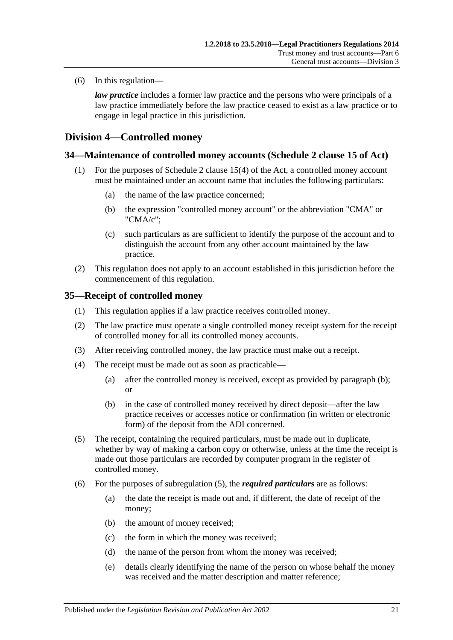(6) In this regulation—

*law practice* includes a former law practice and the persons who were principals of a law practice immediately before the law practice ceased to exist as a law practice or to engage in legal practice in this jurisdiction.

## <span id="page-20-0"></span>**Division 4—Controlled money**

## <span id="page-20-1"></span>**34—Maintenance of controlled money accounts (Schedule 2 clause 15 of Act)**

- (1) For the purposes of Schedule 2 clause 15(4) of the Act, a controlled money account must be maintained under an account name that includes the following particulars:
	- (a) the name of the law practice concerned;
	- (b) the expression "controlled money account" or the abbreviation "CMA" or "CMA/c";
	- (c) such particulars as are sufficient to identify the purpose of the account and to distinguish the account from any other account maintained by the law practice.
- (2) This regulation does not apply to an account established in this jurisdiction before the commencement of this regulation.

### <span id="page-20-2"></span>**35—Receipt of controlled money**

- (1) This regulation applies if a law practice receives controlled money.
- (2) The law practice must operate a single controlled money receipt system for the receipt of controlled money for all its controlled money accounts.
- (3) After receiving controlled money, the law practice must make out a receipt.
- <span id="page-20-3"></span>(4) The receipt must be made out as soon as practicable—
	- (a) after the controlled money is received, except as provided by [paragraph](#page-20-3) (b); or
	- (b) in the case of controlled money received by direct deposit—after the law practice receives or accesses notice or confirmation (in written or electronic form) of the deposit from the ADI concerned.
- <span id="page-20-4"></span>(5) The receipt, containing the required particulars, must be made out in duplicate, whether by way of making a carbon copy or otherwise, unless at the time the receipt is made out those particulars are recorded by computer program in the register of controlled money.
- (6) For the purposes of [subregulation](#page-20-4) (5), the *required particulars* are as follows:
	- (a) the date the receipt is made out and, if different, the date of receipt of the money;
	- (b) the amount of money received;
	- (c) the form in which the money was received;
	- (d) the name of the person from whom the money was received;
	- (e) details clearly identifying the name of the person on whose behalf the money was received and the matter description and matter reference;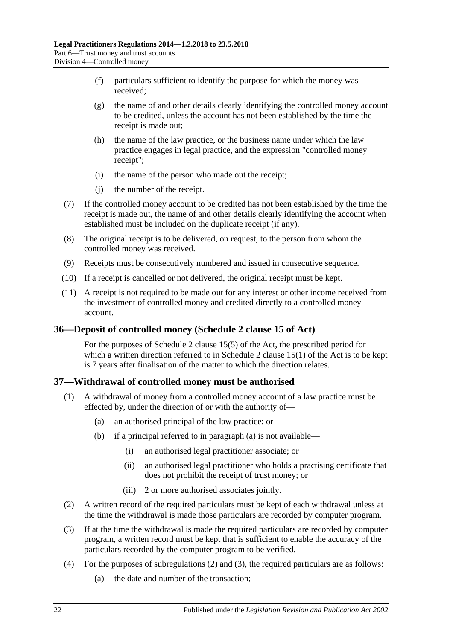- (f) particulars sufficient to identify the purpose for which the money was received;
- (g) the name of and other details clearly identifying the controlled money account to be credited, unless the account has not been established by the time the receipt is made out;
- (h) the name of the law practice, or the business name under which the law practice engages in legal practice, and the expression "controlled money receipt";
- (i) the name of the person who made out the receipt;
- (j) the number of the receipt.
- (7) If the controlled money account to be credited has not been established by the time the receipt is made out, the name of and other details clearly identifying the account when established must be included on the duplicate receipt (if any).
- (8) The original receipt is to be delivered, on request, to the person from whom the controlled money was received.
- (9) Receipts must be consecutively numbered and issued in consecutive sequence.
- (10) If a receipt is cancelled or not delivered, the original receipt must be kept.
- (11) A receipt is not required to be made out for any interest or other income received from the investment of controlled money and credited directly to a controlled money account.

## <span id="page-21-0"></span>**36—Deposit of controlled money (Schedule 2 clause 15 of Act)**

For the purposes of Schedule 2 clause 15(5) of the Act, the prescribed period for which a written direction referred to in Schedule 2 clause  $15(1)$  of the Act is to be kept is 7 years after finalisation of the matter to which the direction relates.

## <span id="page-21-1"></span>**37—Withdrawal of controlled money must be authorised**

- <span id="page-21-2"></span>(1) A withdrawal of money from a controlled money account of a law practice must be effected by, under the direction of or with the authority of—
	- (a) an authorised principal of the law practice; or
	- (b) if a principal referred to in [paragraph](#page-21-2) (a) is not available—
		- (i) an authorised legal practitioner associate; or
		- (ii) an authorised legal practitioner who holds a practising certificate that does not prohibit the receipt of trust money; or
		- (iii) 2 or more authorised associates jointly.
- <span id="page-21-3"></span>(2) A written record of the required particulars must be kept of each withdrawal unless at the time the withdrawal is made those particulars are recorded by computer program.
- <span id="page-21-4"></span>(3) If at the time the withdrawal is made the required particulars are recorded by computer program, a written record must be kept that is sufficient to enable the accuracy of the particulars recorded by the computer program to be verified.
- <span id="page-21-5"></span>(4) For the purposes of [subregulations](#page-21-3) (2) and [\(3\),](#page-21-4) the required particulars are as follows:
	- (a) the date and number of the transaction;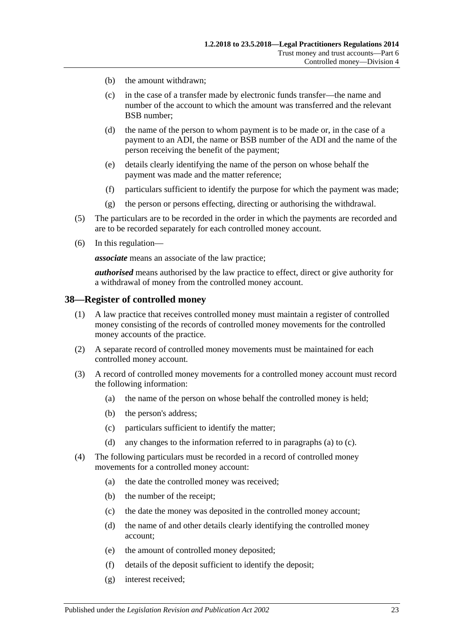- (b) the amount withdrawn;
- (c) in the case of a transfer made by electronic funds transfer—the name and number of the account to which the amount was transferred and the relevant BSB number;
- (d) the name of the person to whom payment is to be made or, in the case of a payment to an ADI, the name or BSB number of the ADI and the name of the person receiving the benefit of the payment;
- (e) details clearly identifying the name of the person on whose behalf the payment was made and the matter reference;
- (f) particulars sufficient to identify the purpose for which the payment was made;
- (g) the person or persons effecting, directing or authorising the withdrawal.
- (5) The particulars are to be recorded in the order in which the payments are recorded and are to be recorded separately for each controlled money account.
- (6) In this regulation—

*associate* means an associate of the law practice;

*authorised* means authorised by the law practice to effect, direct or give authority for a withdrawal of money from the controlled money account.

#### <span id="page-22-0"></span>**38—Register of controlled money**

- (1) A law practice that receives controlled money must maintain a register of controlled money consisting of the records of controlled money movements for the controlled money accounts of the practice.
- (2) A separate record of controlled money movements must be maintained for each controlled money account.
- <span id="page-22-1"></span>(3) A record of controlled money movements for a controlled money account must record the following information:
	- (a) the name of the person on whose behalf the controlled money is held;
	- (b) the person's address;
	- (c) particulars sufficient to identify the matter;
	- (d) any changes to the information referred to in [paragraphs](#page-22-1) (a) to [\(c\).](#page-22-2)
- <span id="page-22-2"></span>(4) The following particulars must be recorded in a record of controlled money movements for a controlled money account:
	- (a) the date the controlled money was received;
	- (b) the number of the receipt;
	- (c) the date the money was deposited in the controlled money account;
	- (d) the name of and other details clearly identifying the controlled money account;
	- (e) the amount of controlled money deposited;
	- (f) details of the deposit sufficient to identify the deposit;
	- (g) interest received;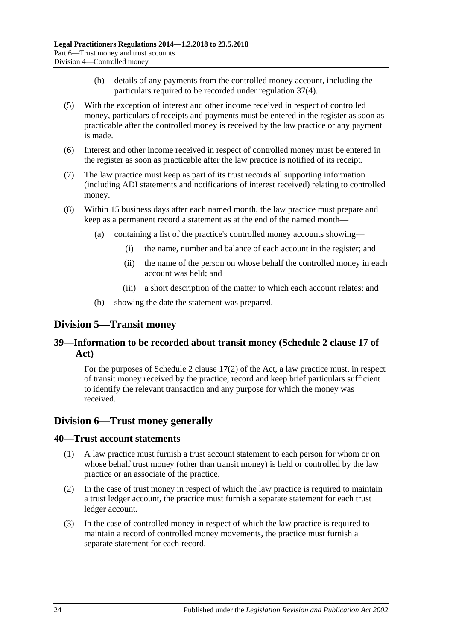- (h) details of any payments from the controlled money account, including the particulars required to be recorded under [regulation](#page-21-5) 37(4).
- (5) With the exception of interest and other income received in respect of controlled money, particulars of receipts and payments must be entered in the register as soon as practicable after the controlled money is received by the law practice or any payment is made.
- (6) Interest and other income received in respect of controlled money must be entered in the register as soon as practicable after the law practice is notified of its receipt.
- (7) The law practice must keep as part of its trust records all supporting information (including ADI statements and notifications of interest received) relating to controlled money.
- (8) Within 15 business days after each named month, the law practice must prepare and keep as a permanent record a statement as at the end of the named month—
	- (a) containing a list of the practice's controlled money accounts showing—
		- (i) the name, number and balance of each account in the register; and
		- (ii) the name of the person on whose behalf the controlled money in each account was held; and
		- (iii) a short description of the matter to which each account relates; and
	- (b) showing the date the statement was prepared.

## <span id="page-23-0"></span>**Division 5—Transit money**

## <span id="page-23-1"></span>**39—Information to be recorded about transit money (Schedule 2 clause 17 of Act)**

For the purposes of Schedule 2 clause 17(2) of the Act, a law practice must, in respect of transit money received by the practice, record and keep brief particulars sufficient to identify the relevant transaction and any purpose for which the money was received.

## <span id="page-23-2"></span>**Division 6—Trust money generally**

#### <span id="page-23-3"></span>**40—Trust account statements**

- (1) A law practice must furnish a trust account statement to each person for whom or on whose behalf trust money (other than transit money) is held or controlled by the law practice or an associate of the practice.
- (2) In the case of trust money in respect of which the law practice is required to maintain a trust ledger account, the practice must furnish a separate statement for each trust ledger account.
- (3) In the case of controlled money in respect of which the law practice is required to maintain a record of controlled money movements, the practice must furnish a separate statement for each record.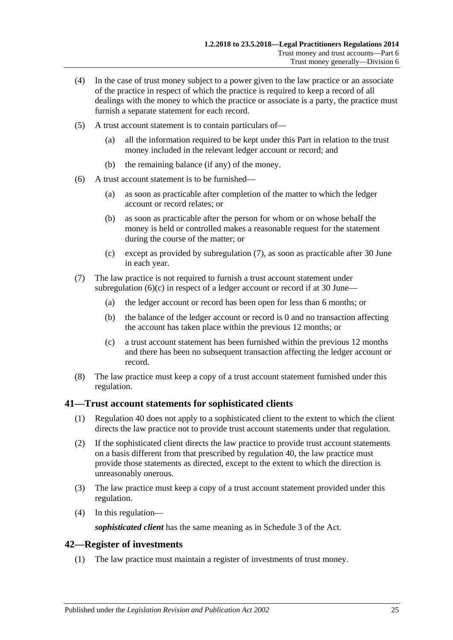- (4) In the case of trust money subject to a power given to the law practice or an associate of the practice in respect of which the practice is required to keep a record of all dealings with the money to which the practice or associate is a party, the practice must furnish a separate statement for each record.
- (5) A trust account statement is to contain particulars of—
	- (a) all the information required to be kept under this Part in relation to the trust money included in the relevant ledger account or record; and
	- (b) the remaining balance (if any) of the money.
- (6) A trust account statement is to be furnished—
	- (a) as soon as practicable after completion of the matter to which the ledger account or record relates; or
	- (b) as soon as practicable after the person for whom or on whose behalf the money is held or controlled makes a reasonable request for the statement during the course of the matter; or
	- (c) except as provided by [subregulation](#page-24-2) (7), as soon as practicable after 30 June in each year.
- <span id="page-24-3"></span><span id="page-24-2"></span>(7) The law practice is not required to furnish a trust account statement under [subregulation](#page-24-3)  $(6)(c)$  in respect of a ledger account or record if at 30 June—
	- (a) the ledger account or record has been open for less than 6 months; or
	- (b) the balance of the ledger account or record is 0 and no transaction affecting the account has taken place within the previous 12 months; or
	- (c) a trust account statement has been furnished within the previous 12 months and there has been no subsequent transaction affecting the ledger account or record.
- (8) The law practice must keep a copy of a trust account statement furnished under this regulation.

#### <span id="page-24-0"></span>**41—Trust account statements for sophisticated clients**

- (1) [Regulation](#page-23-3) 40 does not apply to a sophisticated client to the extent to which the client directs the law practice not to provide trust account statements under that regulation.
- (2) If the sophisticated client directs the law practice to provide trust account statements on a basis different from that prescribed by [regulation](#page-23-3) 40, the law practice must provide those statements as directed, except to the extent to which the direction is unreasonably onerous.
- (3) The law practice must keep a copy of a trust account statement provided under this regulation.
- (4) In this regulation—

*sophisticated client* has the same meaning as in Schedule 3 of the Act.

### <span id="page-24-1"></span>**42—Register of investments**

(1) The law practice must maintain a register of investments of trust money.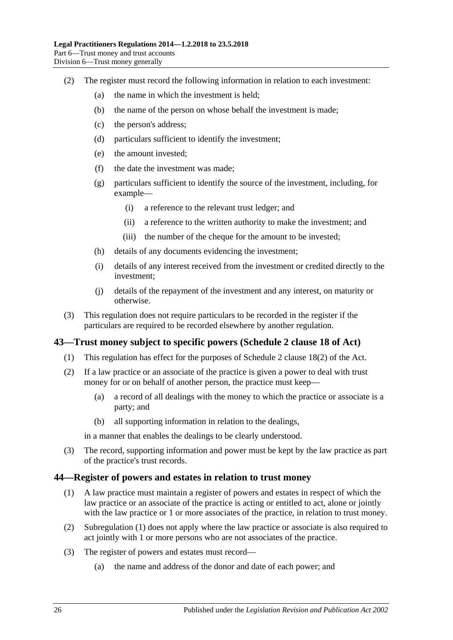- (2) The register must record the following information in relation to each investment:
	- (a) the name in which the investment is held;
	- (b) the name of the person on whose behalf the investment is made;
	- (c) the person's address;
	- (d) particulars sufficient to identify the investment;
	- (e) the amount invested;
	- (f) the date the investment was made;
	- (g) particulars sufficient to identify the source of the investment, including, for example—
		- (i) a reference to the relevant trust ledger; and
		- (ii) a reference to the written authority to make the investment; and
		- (iii) the number of the cheque for the amount to be invested;
	- (h) details of any documents evidencing the investment;
	- (i) details of any interest received from the investment or credited directly to the investment;
	- (j) details of the repayment of the investment and any interest, on maturity or otherwise.
- (3) This regulation does not require particulars to be recorded in the register if the particulars are required to be recorded elsewhere by another regulation.

## <span id="page-25-0"></span>**43—Trust money subject to specific powers (Schedule 2 clause 18 of Act)**

- (1) This regulation has effect for the purposes of Schedule 2 clause 18(2) of the Act.
- (2) If a law practice or an associate of the practice is given a power to deal with trust money for or on behalf of another person, the practice must keep—
	- (a) a record of all dealings with the money to which the practice or associate is a party; and
	- (b) all supporting information in relation to the dealings,

in a manner that enables the dealings to be clearly understood.

(3) The record, supporting information and power must be kept by the law practice as part of the practice's trust records.

#### <span id="page-25-2"></span><span id="page-25-1"></span>**44—Register of powers and estates in relation to trust money**

- (1) A law practice must maintain a register of powers and estates in respect of which the law practice or an associate of the practice is acting or entitled to act, alone or jointly with the law practice or 1 or more associates of the practice, in relation to trust money.
- (2) [Subregulation](#page-25-2) (1) does not apply where the law practice or associate is also required to act jointly with 1 or more persons who are not associates of the practice.
- (3) The register of powers and estates must record—
	- (a) the name and address of the donor and date of each power; and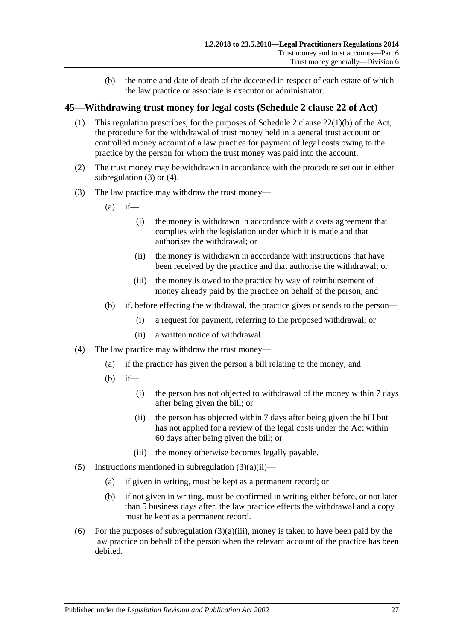(b) the name and date of death of the deceased in respect of each estate of which the law practice or associate is executor or administrator.

## <span id="page-26-0"></span>**45—Withdrawing trust money for legal costs (Schedule 2 clause 22 of Act)**

- (1) This regulation prescribes, for the purposes of Schedule 2 clause 22(1)(b) of the Act, the procedure for the withdrawal of trust money held in a general trust account or controlled money account of a law practice for payment of legal costs owing to the practice by the person for whom the trust money was paid into the account.
- (2) The trust money may be withdrawn in accordance with the procedure set out in either [subregulation](#page-26-1) (3) or [\(4\).](#page-26-2)
- <span id="page-26-3"></span><span id="page-26-1"></span>(3) The law practice may withdraw the trust money—
	- $(a)$  if—
		- (i) the money is withdrawn in accordance with a costs agreement that complies with the legislation under which it is made and that authorises the withdrawal; or
		- (ii) the money is withdrawn in accordance with instructions that have been received by the practice and that authorise the withdrawal; or
		- (iii) the money is owed to the practice by way of reimbursement of money already paid by the practice on behalf of the person; and
	- (b) if, before effecting the withdrawal, the practice gives or sends to the person—
		- (i) a request for payment, referring to the proposed withdrawal; or
		- (ii) a written notice of withdrawal.
- <span id="page-26-4"></span><span id="page-26-2"></span>(4) The law practice may withdraw the trust money—
	- (a) if the practice has given the person a bill relating to the money; and
	- (b) if—
		- (i) the person has not objected to withdrawal of the money within 7 days after being given the bill; or
		- (ii) the person has objected within 7 days after being given the bill but has not applied for a review of the legal costs under the Act within 60 days after being given the bill; or
		- (iii) the money otherwise becomes legally payable.
- (5) Instructions mentioned in [subregulation](#page-26-3)  $(3)(a)(ii)$ 
	- (a) if given in writing, must be kept as a permanent record; or
	- (b) if not given in writing, must be confirmed in writing either before, or not later than 5 business days after, the law practice effects the withdrawal and a copy must be kept as a permanent record.
- (6) For the purposes of [subregulation](#page-26-4)  $(3)(a)(iii)$ , money is taken to have been paid by the law practice on behalf of the person when the relevant account of the practice has been debited.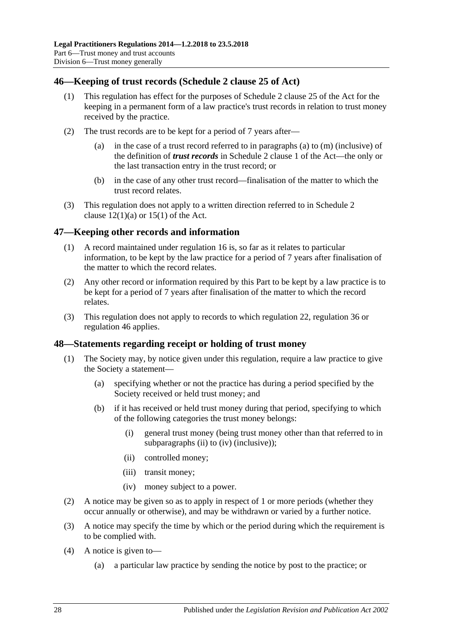## <span id="page-27-0"></span>**46—Keeping of trust records (Schedule 2 clause 25 of Act)**

- (1) This regulation has effect for the purposes of Schedule 2 clause 25 of the Act for the keeping in a permanent form of a law practice's trust records in relation to trust money received by the practice.
- (2) The trust records are to be kept for a period of 7 years after
	- in the case of a trust record referred to in paragraphs (a) to  $(m)$  (inclusive) of the definition of *trust records* in Schedule 2 clause 1 of the Act—the only or the last transaction entry in the trust record; or
	- (b) in the case of any other trust record—finalisation of the matter to which the trust record relates.
- (3) This regulation does not apply to a written direction referred to in Schedule 2 clause  $12(1)(a)$  or  $15(1)$  of the Act.

## <span id="page-27-1"></span>**47—Keeping other records and information**

- (1) A record maintained under [regulation](#page-8-1) 16 is, so far as it relates to particular information, to be kept by the law practice for a period of 7 years after finalisation of the matter to which the record relates.
- (2) Any other record or information required by this Part to be kept by a law practice is to be kept for a period of 7 years after finalisation of the matter to which the record relates.
- (3) This regulation does not apply to records to which [regulation](#page-11-1) 22, [regulation](#page-21-0) 36 or [regulation](#page-27-0) 46 applies.

## <span id="page-27-2"></span>**48—Statements regarding receipt or holding of trust money**

- (1) The Society may, by notice given under this regulation, require a law practice to give the Society a statement—
	- (a) specifying whether or not the practice has during a period specified by the Society received or held trust money; and
	- (b) if it has received or held trust money during that period, specifying to which of the following categories the trust money belongs:
		- (i) general trust money (being trust money other than that referred to in [subparagraphs](#page-27-3) (ii) to [\(iv\)](#page-27-4) (inclusive));
		- (ii) controlled money;
		- (iii) transit money;
		- (iv) money subject to a power.
- <span id="page-27-4"></span><span id="page-27-3"></span>(2) A notice may be given so as to apply in respect of 1 or more periods (whether they occur annually or otherwise), and may be withdrawn or varied by a further notice.
- (3) A notice may specify the time by which or the period during which the requirement is to be complied with.
- (4) A notice is given to—
	- (a) a particular law practice by sending the notice by post to the practice; or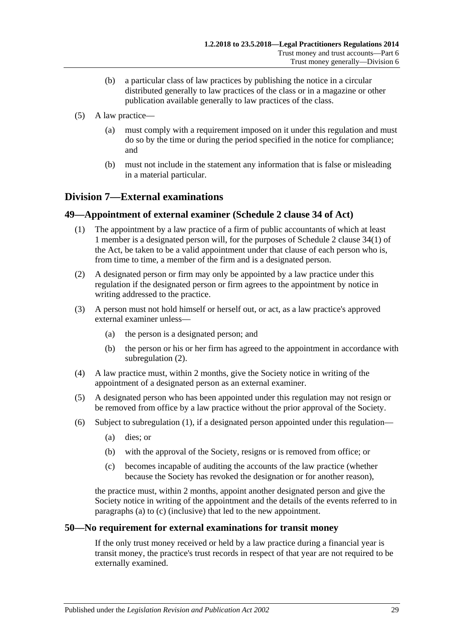- (b) a particular class of law practices by publishing the notice in a circular distributed generally to law practices of the class or in a magazine or other publication available generally to law practices of the class.
- (5) A law practice—
	- (a) must comply with a requirement imposed on it under this regulation and must do so by the time or during the period specified in the notice for compliance; and
	- (b) must not include in the statement any information that is false or misleading in a material particular.

## <span id="page-28-0"></span>**Division 7—External examinations**

## <span id="page-28-4"></span><span id="page-28-1"></span>**49—Appointment of external examiner (Schedule 2 clause 34 of Act)**

- (1) The appointment by a law practice of a firm of public accountants of which at least 1 member is a designated person will, for the purposes of Schedule 2 clause 34(1) of the Act, be taken to be a valid appointment under that clause of each person who is, from time to time, a member of the firm and is a designated person.
- <span id="page-28-3"></span>(2) A designated person or firm may only be appointed by a law practice under this regulation if the designated person or firm agrees to the appointment by notice in writing addressed to the practice.
- (3) A person must not hold himself or herself out, or act, as a law practice's approved external examiner unless—
	- (a) the person is a designated person; and
	- (b) the person or his or her firm has agreed to the appointment in accordance with [subregulation](#page-28-3) (2).
- (4) A law practice must, within 2 months, give the Society notice in writing of the appointment of a designated person as an external examiner.
- (5) A designated person who has been appointed under this regulation may not resign or be removed from office by a law practice without the prior approval of the Society.
- <span id="page-28-6"></span><span id="page-28-5"></span>(6) Subject to [subregulation](#page-28-4) (1), if a designated person appointed under this regulation—
	- (a) dies; or
	- (b) with the approval of the Society, resigns or is removed from office; or
	- (c) becomes incapable of auditing the accounts of the law practice (whether because the Society has revoked the designation or for another reason),

the practice must, within 2 months, appoint another designated person and give the Society notice in writing of the appointment and the details of the events referred to in [paragraphs](#page-28-5) (a) to [\(c\)](#page-28-6) (inclusive) that led to the new appointment.

#### <span id="page-28-2"></span>**50—No requirement for external examinations for transit money**

If the only trust money received or held by a law practice during a financial year is transit money, the practice's trust records in respect of that year are not required to be externally examined.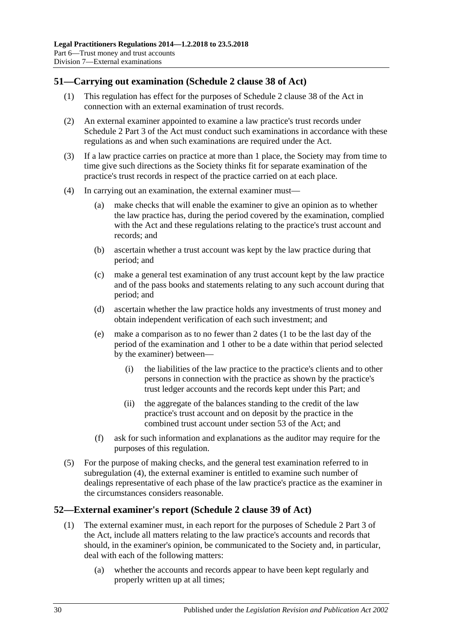## <span id="page-29-0"></span>**51—Carrying out examination (Schedule 2 clause 38 of Act)**

- (1) This regulation has effect for the purposes of Schedule 2 clause 38 of the Act in connection with an external examination of trust records.
- (2) An external examiner appointed to examine a law practice's trust records under Schedule 2 Part 3 of the Act must conduct such examinations in accordance with these regulations as and when such examinations are required under the Act.
- (3) If a law practice carries on practice at more than 1 place, the Society may from time to time give such directions as the Society thinks fit for separate examination of the practice's trust records in respect of the practice carried on at each place.
- <span id="page-29-3"></span><span id="page-29-2"></span>(4) In carrying out an examination, the external examiner must—
	- (a) make checks that will enable the examiner to give an opinion as to whether the law practice has, during the period covered by the examination, complied with the Act and these regulations relating to the practice's trust account and records; and
	- (b) ascertain whether a trust account was kept by the law practice during that period; and
	- (c) make a general test examination of any trust account kept by the law practice and of the pass books and statements relating to any such account during that period; and
	- (d) ascertain whether the law practice holds any investments of trust money and obtain independent verification of each such investment; and
	- (e) make a comparison as to no fewer than 2 dates (1 to be the last day of the period of the examination and 1 other to be a date within that period selected by the examiner) between—
		- (i) the liabilities of the law practice to the practice's clients and to other persons in connection with the practice as shown by the practice's trust ledger accounts and the records kept under this Part; and
		- (ii) the aggregate of the balances standing to the credit of the law practice's trust account and on deposit by the practice in the combined trust account under section 53 of the Act; and
	- (f) ask for such information and explanations as the auditor may require for the purposes of this regulation.
- (5) For the purpose of making checks, and the general test examination referred to in [subregulation](#page-29-2) (4), the external examiner is entitled to examine such number of dealings representative of each phase of the law practice's practice as the examiner in the circumstances considers reasonable.

## <span id="page-29-1"></span>**52—External examiner's report (Schedule 2 clause 39 of Act)**

- (1) The external examiner must, in each report for the purposes of Schedule 2 Part 3 of the Act, include all matters relating to the law practice's accounts and records that should, in the examiner's opinion, be communicated to the Society and, in particular, deal with each of the following matters:
	- (a) whether the accounts and records appear to have been kept regularly and properly written up at all times;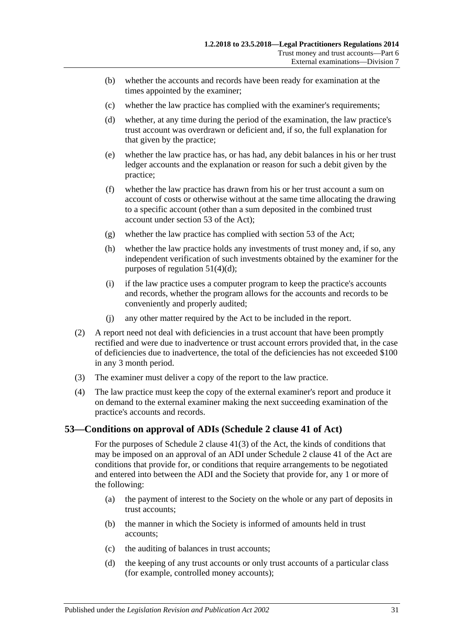- (b) whether the accounts and records have been ready for examination at the times appointed by the examiner;
- (c) whether the law practice has complied with the examiner's requirements;
- (d) whether, at any time during the period of the examination, the law practice's trust account was overdrawn or deficient and, if so, the full explanation for that given by the practice;
- (e) whether the law practice has, or has had, any debit balances in his or her trust ledger accounts and the explanation or reason for such a debit given by the practice;
- (f) whether the law practice has drawn from his or her trust account a sum on account of costs or otherwise without at the same time allocating the drawing to a specific account (other than a sum deposited in the combined trust account under section 53 of the Act);
- (g) whether the law practice has complied with section 53 of the Act;
- (h) whether the law practice holds any investments of trust money and, if so, any independent verification of such investments obtained by the examiner for the purposes of [regulation](#page-29-3) 51(4)(d);
- (i) if the law practice uses a computer program to keep the practice's accounts and records, whether the program allows for the accounts and records to be conveniently and properly audited;
- (j) any other matter required by the Act to be included in the report.
- (2) A report need not deal with deficiencies in a trust account that have been promptly rectified and were due to inadvertence or trust account errors provided that, in the case of deficiencies due to inadvertence, the total of the deficiencies has not exceeded \$100 in any 3 month period.
- (3) The examiner must deliver a copy of the report to the law practice.
- (4) The law practice must keep the copy of the external examiner's report and produce it on demand to the external examiner making the next succeeding examination of the practice's accounts and records.

## <span id="page-30-0"></span>**53—Conditions on approval of ADIs (Schedule 2 clause 41 of Act)**

For the purposes of Schedule 2 clause 41(3) of the Act, the kinds of conditions that may be imposed on an approval of an ADI under Schedule 2 clause 41 of the Act are conditions that provide for, or conditions that require arrangements to be negotiated and entered into between the ADI and the Society that provide for, any 1 or more of the following:

- <span id="page-30-1"></span>(a) the payment of interest to the Society on the whole or any part of deposits in trust accounts;
- (b) the manner in which the Society is informed of amounts held in trust accounts;
- (c) the auditing of balances in trust accounts;
- <span id="page-30-2"></span>(d) the keeping of any trust accounts or only trust accounts of a particular class (for example, controlled money accounts);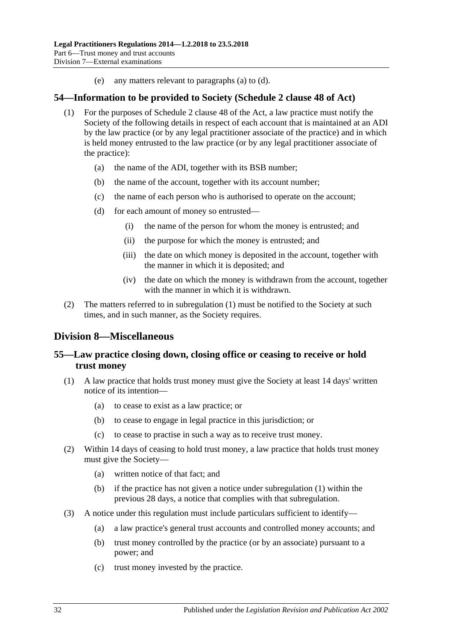(e) any matters relevant to [paragraphs](#page-30-1) (a) to [\(d\).](#page-30-2)

### <span id="page-31-4"></span><span id="page-31-0"></span>**54—Information to be provided to Society (Schedule 2 clause 48 of Act)**

- (1) For the purposes of Schedule 2 clause 48 of the Act, a law practice must notify the Society of the following details in respect of each account that is maintained at an ADI by the law practice (or by any legal practitioner associate of the practice) and in which is held money entrusted to the law practice (or by any legal practitioner associate of the practice):
	- (a) the name of the ADI, together with its BSB number;
	- (b) the name of the account, together with its account number;
	- (c) the name of each person who is authorised to operate on the account;
	- (d) for each amount of money so entrusted—
		- (i) the name of the person for whom the money is entrusted; and
		- (ii) the purpose for which the money is entrusted; and
		- (iii) the date on which money is deposited in the account, together with the manner in which it is deposited; and
		- (iv) the date on which the money is withdrawn from the account, together with the manner in which it is withdrawn.
- (2) The matters referred to in [subregulation](#page-31-4) (1) must be notified to the Society at such times, and in such manner, as the Society requires.

## <span id="page-31-1"></span>**Division 8—Miscellaneous**

## <span id="page-31-2"></span>**55—Law practice closing down, closing office or ceasing to receive or hold trust money**

- <span id="page-31-3"></span>(1) A law practice that holds trust money must give the Society at least 14 days' written notice of its intention—
	- (a) to cease to exist as a law practice; or
	- (b) to cease to engage in legal practice in this jurisdiction; or
	- (c) to cease to practise in such a way as to receive trust money.
- (2) Within 14 days of ceasing to hold trust money, a law practice that holds trust money must give the Society—
	- (a) written notice of that fact; and
	- (b) if the practice has not given a notice under [subregulation](#page-31-3) (1) within the previous 28 days, a notice that complies with that subregulation.
- (3) A notice under this regulation must include particulars sufficient to identify—
	- (a) a law practice's general trust accounts and controlled money accounts; and
	- (b) trust money controlled by the practice (or by an associate) pursuant to a power; and
	- (c) trust money invested by the practice.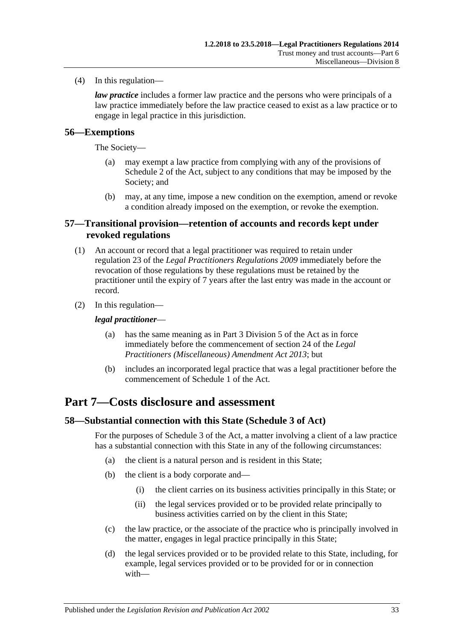(4) In this regulation—

*law practice* includes a former law practice and the persons who were principals of a law practice immediately before the law practice ceased to exist as a law practice or to engage in legal practice in this jurisdiction.

## <span id="page-32-0"></span>**56—Exemptions**

The Society—

- (a) may exempt a law practice from complying with any of the provisions of Schedule 2 of the Act, subject to any conditions that may be imposed by the Society; and
- (b) may, at any time, impose a new condition on the exemption, amend or revoke a condition already imposed on the exemption, or revoke the exemption.

## <span id="page-32-1"></span>**57—Transitional provision—retention of accounts and records kept under revoked regulations**

- (1) An account or record that a legal practitioner was required to retain under regulation 23 of the *[Legal Practitioners Regulations](http://www.legislation.sa.gov.au/index.aspx?action=legref&type=subordleg&legtitle=Legal%20Practitioners%20Regulations%202009) 2009* immediately before the revocation of those regulations by these regulations must be retained by the practitioner until the expiry of 7 years after the last entry was made in the account or record.
- (2) In this regulation—

#### *legal practitioner*—

- (a) has the same meaning as in Part 3 Division 5 of the Act as in force immediately before the commencement of section 24 of the *[Legal](http://www.legislation.sa.gov.au/index.aspx?action=legref&type=act&legtitle=Legal%20Practitioners%20(Miscellaneous)%20Amendment%20Act%202013)  [Practitioners \(Miscellaneous\) Amendment Act](http://www.legislation.sa.gov.au/index.aspx?action=legref&type=act&legtitle=Legal%20Practitioners%20(Miscellaneous)%20Amendment%20Act%202013) 2013*; but
- (b) includes an incorporated legal practice that was a legal practitioner before the commencement of Schedule 1 of the Act.

## <span id="page-32-2"></span>**Part 7—Costs disclosure and assessment**

## <span id="page-32-3"></span>**58—Substantial connection with this State (Schedule 3 of Act)**

For the purposes of Schedule 3 of the Act, a matter involving a client of a law practice has a substantial connection with this State in any of the following circumstances:

- (a) the client is a natural person and is resident in this State;
- (b) the client is a body corporate and—
	- (i) the client carries on its business activities principally in this State; or
	- (ii) the legal services provided or to be provided relate principally to business activities carried on by the client in this State;
- (c) the law practice, or the associate of the practice who is principally involved in the matter, engages in legal practice principally in this State;
- (d) the legal services provided or to be provided relate to this State, including, for example, legal services provided or to be provided for or in connection with—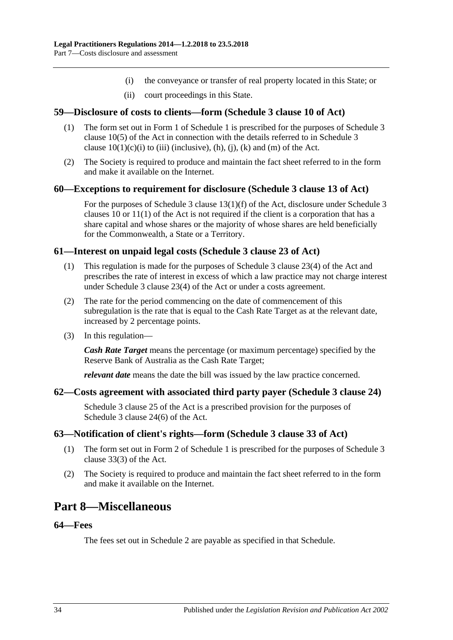- (i) the conveyance or transfer of real property located in this State; or
- (ii) court proceedings in this State.

### <span id="page-33-0"></span>**59—Disclosure of costs to clients—form (Schedule 3 clause 10 of Act)**

- (1) The form set out in Form 1 of [Schedule](#page-35-4) 1 is prescribed for the purposes of Schedule 3 clause 10(5) of the Act in connection with the details referred to in Schedule 3 clause  $10(1)(c)(i)$  to (iii) (inclusive), (h), (j), (k) and (m) of the Act.
- (2) The Society is required to produce and maintain the fact sheet referred to in the form and make it available on the Internet.

#### <span id="page-33-1"></span>**60—Exceptions to requirement for disclosure (Schedule 3 clause 13 of Act)**

For the purposes of Schedule 3 clause 13(1)(f) of the Act, disclosure under Schedule 3 clauses 10 or 11(1) of the Act is not required if the client is a corporation that has a share capital and whose shares or the majority of whose shares are held beneficially for the Commonwealth, a State or a Territory.

#### <span id="page-33-2"></span>**61—Interest on unpaid legal costs (Schedule 3 clause 23 of Act)**

- (1) This regulation is made for the purposes of Schedule 3 clause 23(4) of the Act and prescribes the rate of interest in excess of which a law practice may not charge interest under Schedule 3 clause 23(4) of the Act or under a costs agreement.
- (2) The rate for the period commencing on the date of commencement of this subregulation is the rate that is equal to the Cash Rate Target as at the relevant date, increased by 2 percentage points.
- (3) In this regulation—

*Cash Rate Target* means the percentage (or maximum percentage) specified by the Reserve Bank of Australia as the Cash Rate Target;

*relevant date* means the date the bill was issued by the law practice concerned.

#### <span id="page-33-3"></span>**62—Costs agreement with associated third party payer (Schedule 3 clause 24)**

Schedule 3 clause 25 of the Act is a prescribed provision for the purposes of Schedule 3 clause 24(6) of the Act.

#### <span id="page-33-4"></span>**63—Notification of client's rights—form (Schedule 3 clause 33 of Act)**

- (1) The form set out in Form 2 of [Schedule](#page-35-4) 1 is prescribed for the purposes of Schedule 3 clause 33(3) of the Act.
- (2) The Society is required to produce and maintain the fact sheet referred to in the form and make it available on the Internet.

## <span id="page-33-5"></span>**Part 8—Miscellaneous**

### <span id="page-33-6"></span>**64—Fees**

The fees set out in [Schedule](#page-36-0) 2 are payable as specified in that Schedule.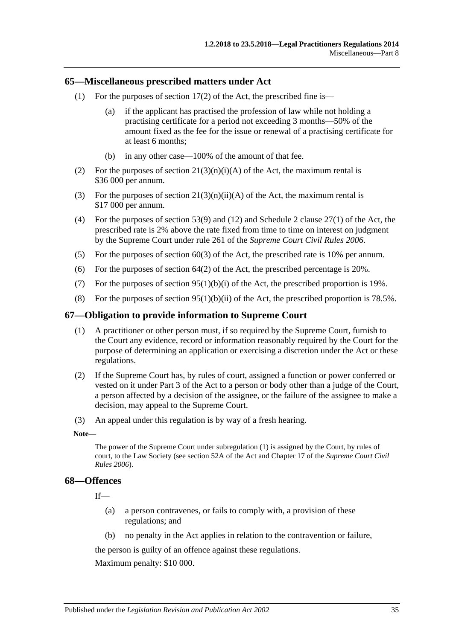#### <span id="page-34-0"></span>**65—Miscellaneous prescribed matters under Act**

- (1) For the purposes of section  $17(2)$  of the Act, the prescribed fine is—
	- (a) if the applicant has practised the profession of law while not holding a practising certificate for a period not exceeding 3 months—50% of the amount fixed as the fee for the issue or renewal of a practising certificate for at least 6 months;
	- (b) in any other case—100% of the amount of that fee.
- (2) For the purposes of section  $21(3)(n)(i)(A)$  of the Act, the maximum rental is \$36 000 per annum.
- (3) For the purposes of section  $21(3)(n)(ii)(A)$  of the Act, the maximum rental is \$17 000 per annum.
- (4) For the purposes of section 53(9) and (12) and Schedule 2 clause 27(1) of the Act, the prescribed rate is 2% above the rate fixed from time to time on interest on judgment by the Supreme Court under rule 261 of the *Supreme Court Civil Rules 2006*.
- (5) For the purposes of section 60(3) of the Act, the prescribed rate is 10% per annum.
- (6) For the purposes of section  $64(2)$  of the Act, the prescribed percentage is 20%.
- (7) For the purposes of section  $95(1)(b)(i)$  of the Act, the prescribed proportion is 19%.
- (8) For the purposes of section  $95(1)(b)(ii)$  of the Act, the prescribed proportion is 78.5%.

### <span id="page-34-3"></span><span id="page-34-1"></span>**67—Obligation to provide information to Supreme Court**

- (1) A practitioner or other person must, if so required by the Supreme Court, furnish to the Court any evidence, record or information reasonably required by the Court for the purpose of determining an application or exercising a discretion under the Act or these regulations.
- (2) If the Supreme Court has, by rules of court, assigned a function or power conferred or vested on it under Part 3 of the Act to a person or body other than a judge of the Court, a person affected by a decision of the assignee, or the failure of the assignee to make a decision, may appeal to the Supreme Court.
- (3) An appeal under this regulation is by way of a fresh hearing.

#### **Note—**

The power of the Supreme Court under [subregulation](#page-34-3) (1) is assigned by the Court, by rules of court, to the Law Society (see section 52A of the Act and Chapter 17 of the *Supreme Court Civil Rules 2006*).

#### <span id="page-34-2"></span>**68—Offences**

If—

- (a) a person contravenes, or fails to comply with, a provision of these regulations; and
- (b) no penalty in the Act applies in relation to the contravention or failure,

the person is guilty of an offence against these regulations.

Maximum penalty: \$10 000.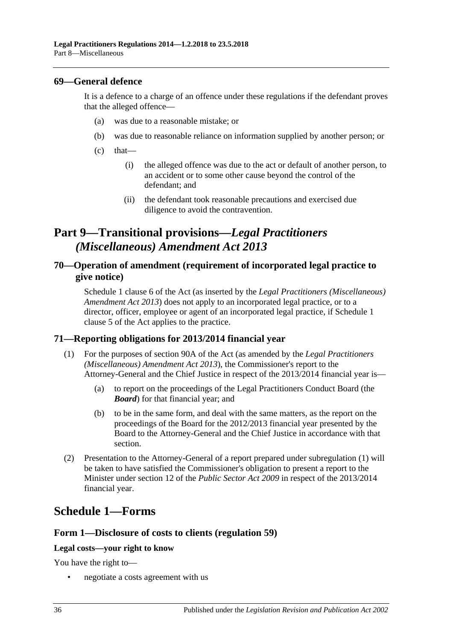### <span id="page-35-0"></span>**69—General defence**

It is a defence to a charge of an offence under these regulations if the defendant proves that the alleged offence—

- (a) was due to a reasonable mistake; or
- (b) was due to reasonable reliance on information supplied by another person; or
- $(c)$  that—
	- (i) the alleged offence was due to the act or default of another person, to an accident or to some other cause beyond the control of the defendant; and
	- (ii) the defendant took reasonable precautions and exercised due diligence to avoid the contravention.

# <span id="page-35-1"></span>**Part 9—Transitional provisions—***Legal Practitioners (Miscellaneous) Amendment Act 2013*

## <span id="page-35-2"></span>**70—Operation of amendment (requirement of incorporated legal practice to give notice)**

Schedule 1 clause 6 of the Act (as inserted by the *[Legal Practitioners \(Miscellaneous\)](http://www.legislation.sa.gov.au/index.aspx?action=legref&type=act&legtitle=Legal%20Practitioners%20(Miscellaneous)%20Amendment%20Act%202013)  [Amendment Act](http://www.legislation.sa.gov.au/index.aspx?action=legref&type=act&legtitle=Legal%20Practitioners%20(Miscellaneous)%20Amendment%20Act%202013) 2013*) does not apply to an incorporated legal practice, or to a director, officer, employee or agent of an incorporated legal practice, if Schedule 1 clause 5 of the Act applies to the practice.

## <span id="page-35-5"></span><span id="page-35-3"></span>**71—Reporting obligations for 2013/2014 financial year**

- (1) For the purposes of section 90A of the Act (as amended by the *[Legal Practitioners](http://www.legislation.sa.gov.au/index.aspx?action=legref&type=act&legtitle=Legal%20Practitioners%20(Miscellaneous)%20Amendment%20Act%202013)  [\(Miscellaneous\) Amendment Act](http://www.legislation.sa.gov.au/index.aspx?action=legref&type=act&legtitle=Legal%20Practitioners%20(Miscellaneous)%20Amendment%20Act%202013) 2013*), the Commissioner's report to the Attorney-General and the Chief Justice in respect of the 2013/2014 financial year is—
	- (a) to report on the proceedings of the Legal Practitioners Conduct Board (the *Board*) for that financial year; and
	- (b) to be in the same form, and deal with the same matters, as the report on the proceedings of the Board for the 2012/2013 financial year presented by the Board to the Attorney-General and the Chief Justice in accordance with that section.
- (2) Presentation to the Attorney-General of a report prepared under [subregulation](#page-35-5) (1) will be taken to have satisfied the Commissioner's obligation to present a report to the Minister under section 12 of the *[Public Sector Act](http://www.legislation.sa.gov.au/index.aspx?action=legref&type=act&legtitle=Public%20Sector%20Act%202009) 2009* in respect of the 2013/2014 financial year.

# <span id="page-35-4"></span>**Schedule 1—Forms**

## **Form 1—Disclosure of costs to clients [\(regulation](#page-33-0) 59)**

#### **Legal costs—your right to know**

You have the right to—

• negotiate a costs agreement with us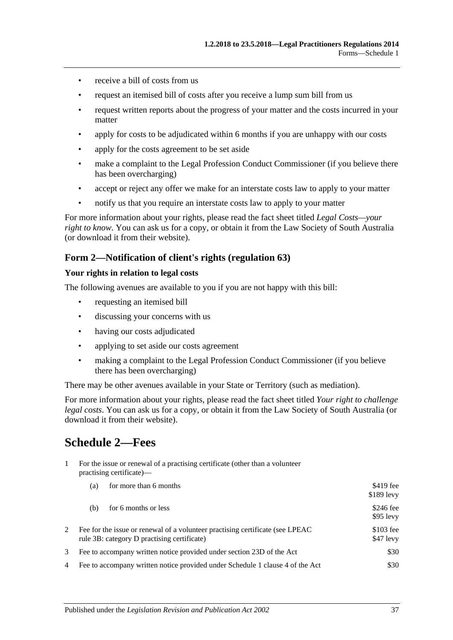- receive a bill of costs from us
- request an itemised bill of costs after you receive a lump sum bill from us
- request written reports about the progress of your matter and the costs incurred in your matter
- apply for costs to be adjudicated within 6 months if you are unhappy with our costs
- apply for the costs agreement to be set aside
- make a complaint to the Legal Profession Conduct Commissioner (if you believe there has been overcharging)
- accept or reject any offer we make for an interstate costs law to apply to your matter
- notify us that you require an interstate costs law to apply to your matter

For more information about your rights, please read the fact sheet titled *Legal Costs—your right to know*. You can ask us for a copy, or obtain it from the Law Society of South Australia (or download it from their website).

### **Form 2—Notification of client's rights [\(regulation](#page-33-4) 63)**

#### **Your rights in relation to legal costs**

The following avenues are available to you if you are not happy with this bill:

- requesting an itemised bill
- discussing your concerns with us
- having our costs adjudicated
- applying to set aside our costs agreement
- making a complaint to the Legal Profession Conduct Commissioner (if you believe there has been overcharging)

There may be other avenues available in your State or Territory (such as mediation).

For more information about your rights, please read the fact sheet titled *Your right to challenge legal costs*. You can ask us for a copy, or obtain it from the Law Society of South Australia (or download it from their website).

# <span id="page-36-0"></span>**Schedule 2—Fees**

1 For the issue or renewal of a practising certificate (other than a volunteer practising certificate)—

|   | for more than 6 months<br>(a)                                                                                                 | \$419 fee<br>$$189$ levy |
|---|-------------------------------------------------------------------------------------------------------------------------------|--------------------------|
|   | for 6 months or less<br>(b)                                                                                                   | \$246 fee<br>$$95$ levy  |
|   | Fee for the issue or renewal of a volunteer practising certificate (see LPEAC)<br>rule 3B: category D practising certificate) | $$103$ fee<br>$$47$ levy |
| 3 | Fee to accompany written notice provided under section 23D of the Act                                                         | \$30                     |
| 4 | Fee to accompany written notice provided under Schedule 1 clause 4 of the Act                                                 | \$30                     |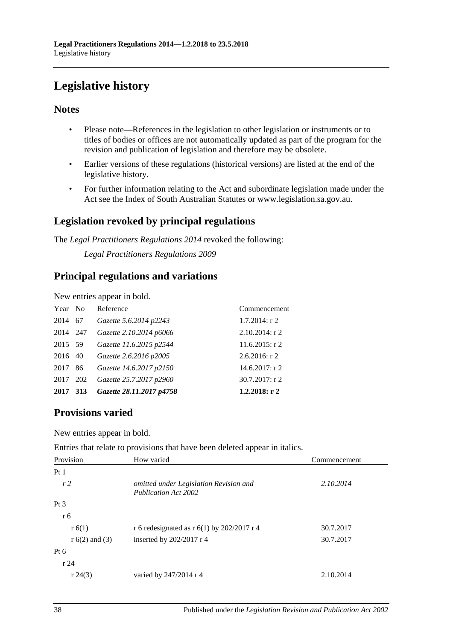# <span id="page-37-0"></span>**Legislative history**

## **Notes**

- Please note—References in the legislation to other legislation or instruments or to titles of bodies or offices are not automatically updated as part of the program for the revision and publication of legislation and therefore may be obsolete.
- Earlier versions of these regulations (historical versions) are listed at the end of the legislative history.
- For further information relating to the Act and subordinate legislation made under the Act see the Index of South Australian Statutes or www.legislation.sa.gov.au.

## **Legislation revoked by principal regulations**

The *Legal Practitioners Regulations 2014* revoked the following:

*Legal Practitioners Regulations 2009*

## **Principal regulations and variations**

New entries appear in bold.

| Year No  | Reference                | Commencement      |
|----------|--------------------------|-------------------|
| 2014 67  | Gazette 5.6.2014 p2243   | $1.7.2014$ : r 2  |
| 2014 247 | Gazette 2.10.2014 p6066  | $2.10.2014$ : r 2 |
| 2015 59  | Gazette 11.6.2015 p2544  | $11.6.2015$ : r 2 |
| 2016 40  | Gazette 2.6.2016 p2005   | $2.6.2016$ : r 2  |
| 2017 86  | Gazette 14.6.2017 p2150  | $14.6.2017:$ r 2  |
| 2017 202 | Gazette 25.7.2017 p2960  | $30.7.2017$ : r 2 |
| 2017 313 | Gazette 28.11.2017 p4758 | $1.2.2018:$ r 2   |

## **Provisions varied**

New entries appear in bold.

Entries that relate to provisions that have been deleted appear in italics.

| Provision        | How varied                                                            | Commencement |
|------------------|-----------------------------------------------------------------------|--------------|
| Pt1              |                                                                       |              |
| r <sub>2</sub>   | omitted under Legislation Revision and<br><b>Publication Act 2002</b> | 2.10.2014    |
| Pt <sub>3</sub>  |                                                                       |              |
| r 6              |                                                                       |              |
| r 6(1)           | r 6 redesignated as r 6(1) by 202/2017 r 4                            | 30.7.2017    |
| $r 6(2)$ and (3) | inserted by $202/2017$ r 4                                            | 30.7.2017    |
| Pt $6$           |                                                                       |              |
| r24              |                                                                       |              |
| r 24(3)          | varied by $247/2014$ r 4                                              | 2.10.2014    |